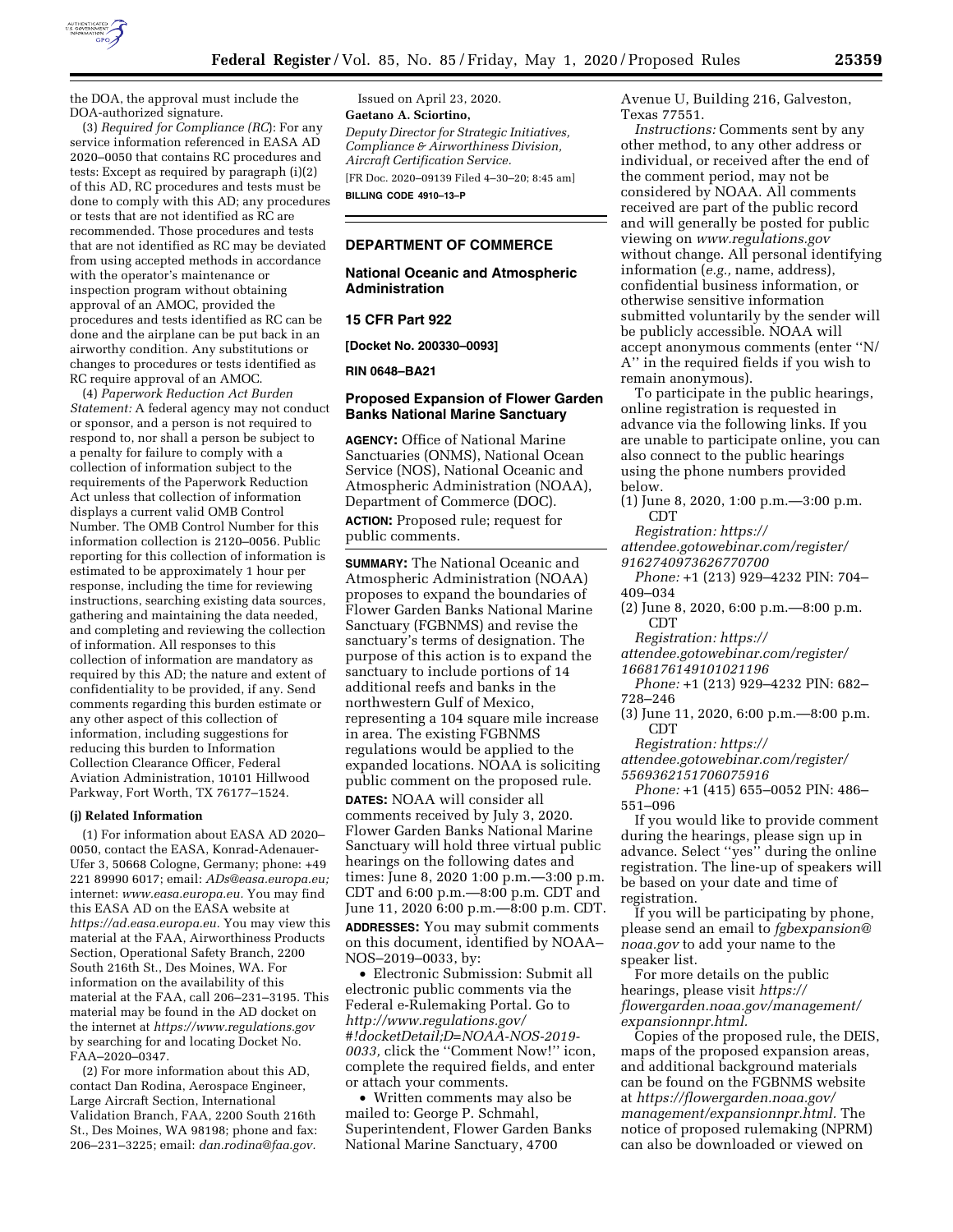

the DOA, the approval must include the DOA-authorized signature.

(3) *Required for Compliance (RC*): For any service information referenced in EASA AD 2020–0050 that contains RC procedures and tests: Except as required by paragraph (i)(2) of this AD, RC procedures and tests must be done to comply with this AD; any procedures or tests that are not identified as RC are recommended. Those procedures and tests that are not identified as RC may be deviated from using accepted methods in accordance with the operator's maintenance or inspection program without obtaining approval of an AMOC, provided the procedures and tests identified as RC can be done and the airplane can be put back in an airworthy condition. Any substitutions or changes to procedures or tests identified as RC require approval of an AMOC.

(4) *Paperwork Reduction Act Burden Statement:* A federal agency may not conduct or sponsor, and a person is not required to respond to, nor shall a person be subject to a penalty for failure to comply with a collection of information subject to the requirements of the Paperwork Reduction Act unless that collection of information displays a current valid OMB Control Number. The OMB Control Number for this information collection is 2120–0056. Public reporting for this collection of information is estimated to be approximately 1 hour per response, including the time for reviewing instructions, searching existing data sources, gathering and maintaining the data needed, and completing and reviewing the collection of information. All responses to this collection of information are mandatory as required by this AD; the nature and extent of confidentiality to be provided, if any. Send comments regarding this burden estimate or any other aspect of this collection of information, including suggestions for reducing this burden to Information Collection Clearance Officer, Federal Aviation Administration, 10101 Hillwood Parkway, Fort Worth, TX 76177–1524.

#### **(j) Related Information**

(1) For information about EASA AD 2020– 0050, contact the EASA, Konrad-Adenauer-Ufer 3, 50668 Cologne, Germany; phone: +49 221 89990 6017; email: *ADs@easa.europa.eu;*  internet: *www.easa.europa.eu.* You may find this EASA AD on the EASA website at *https://ad.easa.europa.eu.* You may view this material at the FAA, Airworthiness Products Section, Operational Safety Branch, 2200 South 216th St., Des Moines, WA. For information on the availability of this material at the FAA, call 206–231–3195. This material may be found in the AD docket on the internet at *https://www.regulations.gov*  by searching for and locating Docket No. FAA–2020–0347.

(2) For more information about this AD, contact Dan Rodina, Aerospace Engineer, Large Aircraft Section, International Validation Branch, FAA, 2200 South 216th St., Des Moines, WA 98198; phone and fax: 206–231–3225; email: *dan.rodina@faa.gov.* 

Issued on April 23, 2020. **Gaetano A. Sciortino,**  *Deputy Director for Strategic Initiatives, Compliance & Airworthiness Division, Aircraft Certification Service.*  [FR Doc. 2020–09139 Filed 4–30–20; 8:45 am]

**BILLING CODE 4910–13–P** 

# **DEPARTMENT OF COMMERCE**

#### **National Oceanic and Atmospheric Administration**

### **15 CFR Part 922**

**[Docket No. 200330–0093]** 

#### **RIN 0648–BA21**

### **Proposed Expansion of Flower Garden Banks National Marine Sanctuary**

**AGENCY:** Office of National Marine Sanctuaries (ONMS), National Ocean Service (NOS), National Oceanic and Atmospheric Administration (NOAA), Department of Commerce (DOC).

**ACTION:** Proposed rule; request for public comments.

**SUMMARY:** The National Oceanic and Atmospheric Administration (NOAA) proposes to expand the boundaries of Flower Garden Banks National Marine Sanctuary (FGBNMS) and revise the sanctuary's terms of designation. The purpose of this action is to expand the sanctuary to include portions of 14 additional reefs and banks in the northwestern Gulf of Mexico, representing a 104 square mile increase in area. The existing FGBNMS regulations would be applied to the expanded locations. NOAA is soliciting public comment on the proposed rule.

**DATES:** NOAA will consider all comments received by July 3, 2020. Flower Garden Banks National Marine Sanctuary will hold three virtual public hearings on the following dates and times: June 8, 2020 1:00 p.m.—3:00 p.m. CDT and 6:00 p.m.—8:00 p.m. CDT and June 11, 2020 6:00 p.m.—8:00 p.m. CDT. **ADDRESSES:** You may submit comments on this document, identified by NOAA– NOS–2019–0033, by:

• Electronic Submission: Submit all electronic public comments via the Federal e-Rulemaking Portal. Go to *http://www.regulations.gov/ #!docketDetail;D=NOAA-NOS-2019- 0033,* click the ''Comment Now!'' icon, complete the required fields, and enter or attach your comments.

• Written comments may also be mailed to: George P. Schmahl, Superintendent, Flower Garden Banks National Marine Sanctuary, 4700

Avenue U, Building 216, Galveston, Texas 77551.

*Instructions:* Comments sent by any other method, to any other address or individual, or received after the end of the comment period, may not be considered by NOAA. All comments received are part of the public record and will generally be posted for public viewing on *www.regulations.gov*  without change. All personal identifying information (*e.g.,* name, address), confidential business information, or otherwise sensitive information submitted voluntarily by the sender will be publicly accessible. NOAA will accept anonymous comments (enter ''N/ A'' in the required fields if you wish to remain anonymous).

To participate in the public hearings, online registration is requested in advance via the following links. If you are unable to participate online, you can also connect to the public hearings using the phone numbers provided below.

(1) June 8, 2020, 1:00 p.m.—3:00 p.m. CDT

*Registration: https://*

*attendee.gotowebinar.com/register/ 9162740973626770700* 

*Phone:* +1 (213) 929–4232 PIN: 704– 409–034

(2) June 8, 2020, 6:00 p.m.—8:00 p.m. CDT

*Registration: https://*

*attendee.gotowebinar.com/register/ 1668176149101021196* 

*Phone:* +1 (213) 929–4232 PIN: 682– 728–246

(3) June 11, 2020, 6:00 p.m.—8:00 p.m.

CDT

*Registration: https://*

*attendee.gotowebinar.com/register/ 5569362151706075916* 

*Phone:* +1 (415) 655–0052 PIN: 486– 551–096

If you would like to provide comment during the hearings, please sign up in advance. Select ''yes'' during the online registration. The line-up of speakers will be based on your date and time of registration.

If you will be participating by phone, please send an email to *fgbexpansion@ noaa.gov* to add your name to the speaker list.

For more details on the public hearings, please visit *https:// flowergarden.noaa.gov/management/ expansionnpr.html.* 

Copies of the proposed rule, the DEIS, maps of the proposed expansion areas, and additional background materials can be found on the FGBNMS website at *https://flowergarden.noaa.gov/ management/expansionnpr.html.* The notice of proposed rulemaking (NPRM) can also be downloaded or viewed on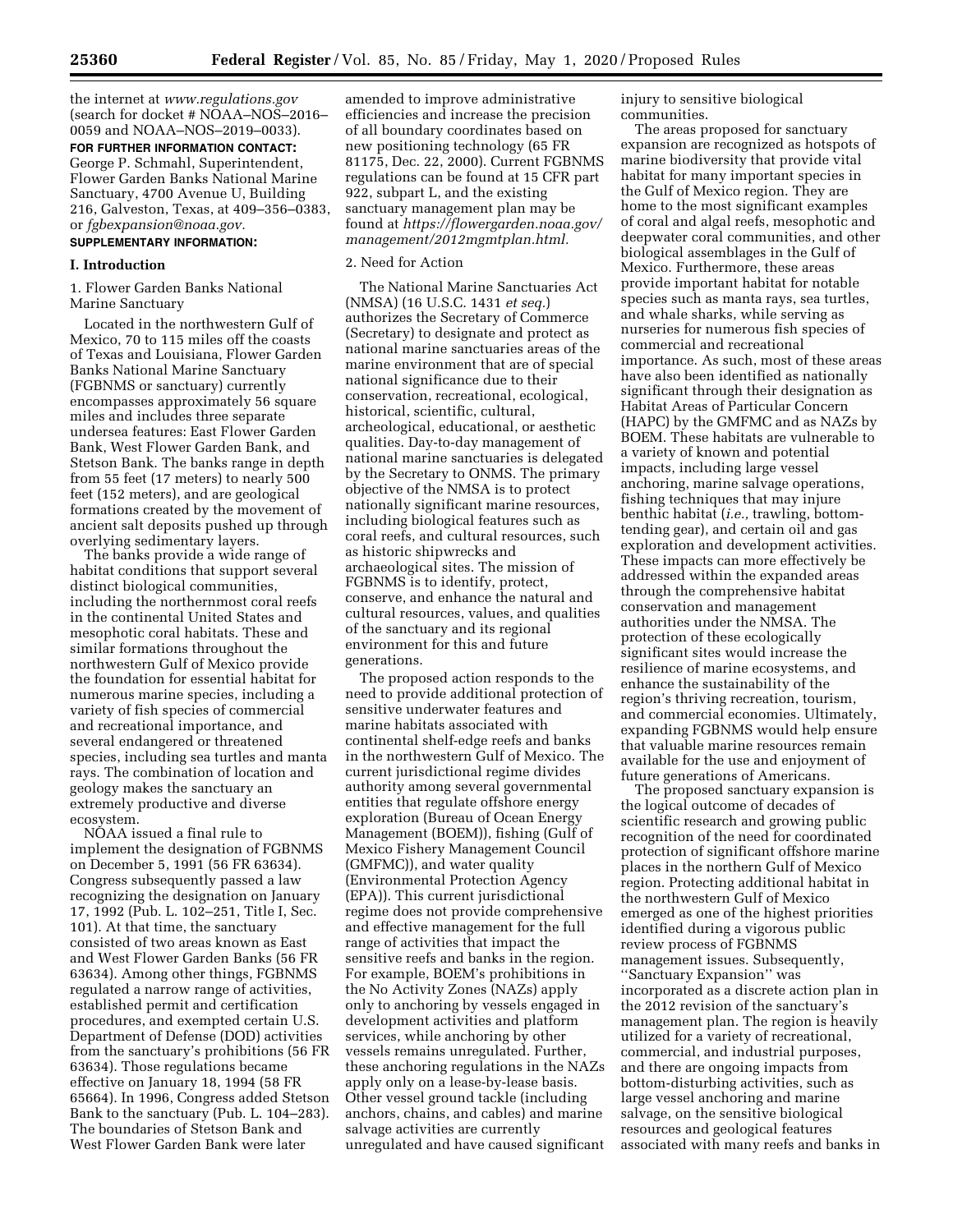the internet at *www.regulations.gov*  (search for docket # NOAA–NOS–2016– 0059 and NOAA–NOS–2019–0033).

**FOR FURTHER INFORMATION CONTACT:**  George P. Schmahl, Superintendent, Flower Garden Banks National Marine Sanctuary, 4700 Avenue U, Building 216, Galveston, Texas, at 409–356–0383, or *fgbexpansion@noaa.gov.* 

# **SUPPLEMENTARY INFORMATION:**

## **I. Introduction**

1. Flower Garden Banks National Marine Sanctuary

Located in the northwestern Gulf of Mexico, 70 to 115 miles off the coasts of Texas and Louisiana, Flower Garden Banks National Marine Sanctuary (FGBNMS or sanctuary) currently encompasses approximately 56 square miles and includes three separate undersea features: East Flower Garden Bank, West Flower Garden Bank, and Stetson Bank. The banks range in depth from 55 feet (17 meters) to nearly 500 feet (152 meters), and are geological formations created by the movement of ancient salt deposits pushed up through overlying sedimentary layers.

The banks provide a wide range of habitat conditions that support several distinct biological communities, including the northernmost coral reefs in the continental United States and mesophotic coral habitats. These and similar formations throughout the northwestern Gulf of Mexico provide the foundation for essential habitat for numerous marine species, including a variety of fish species of commercial and recreational importance, and several endangered or threatened species, including sea turtles and manta rays. The combination of location and geology makes the sanctuary an extremely productive and diverse ecosystem.

NOAA issued a final rule to implement the designation of FGBNMS on December 5, 1991 (56 FR 63634). Congress subsequently passed a law recognizing the designation on January 17, 1992 (Pub. L. 102–251, Title I, Sec. 101). At that time, the sanctuary consisted of two areas known as East and West Flower Garden Banks (56 FR 63634). Among other things, FGBNMS regulated a narrow range of activities, established permit and certification procedures, and exempted certain U.S. Department of Defense (DOD) activities from the sanctuary's prohibitions (56 FR 63634). Those regulations became effective on January 18, 1994 (58 FR 65664). In 1996, Congress added Stetson Bank to the sanctuary (Pub. L. 104–283). The boundaries of Stetson Bank and West Flower Garden Bank were later

amended to improve administrative efficiencies and increase the precision of all boundary coordinates based on new positioning technology (65 FR 81175, Dec. 22, 2000). Current FGBNMS regulations can be found at 15 CFR part 922, subpart L, and the existing sanctuary management plan may be found at *https://flowergarden.noaa.gov/ management/2012mgmtplan.html.* 

### 2. Need for Action

The National Marine Sanctuaries Act (NMSA) (16 U.S.C. 1431 *et seq.*) authorizes the Secretary of Commerce (Secretary) to designate and protect as national marine sanctuaries areas of the marine environment that are of special national significance due to their conservation, recreational, ecological, historical, scientific, cultural, archeological, educational, or aesthetic qualities. Day-to-day management of national marine sanctuaries is delegated by the Secretary to ONMS. The primary objective of the NMSA is to protect nationally significant marine resources, including biological features such as coral reefs, and cultural resources, such as historic shipwrecks and archaeological sites. The mission of FGBNMS is to identify, protect, conserve, and enhance the natural and cultural resources, values, and qualities of the sanctuary and its regional environment for this and future generations.

The proposed action responds to the need to provide additional protection of sensitive underwater features and marine habitats associated with continental shelf-edge reefs and banks in the northwestern Gulf of Mexico. The current jurisdictional regime divides authority among several governmental entities that regulate offshore energy exploration (Bureau of Ocean Energy Management (BOEM)), fishing (Gulf of Mexico Fishery Management Council (GMFMC)), and water quality (Environmental Protection Agency (EPA)). This current jurisdictional regime does not provide comprehensive and effective management for the full range of activities that impact the sensitive reefs and banks in the region. For example, BOEM's prohibitions in the No Activity Zones (NAZs) apply only to anchoring by vessels engaged in development activities and platform services, while anchoring by other vessels remains unregulated. Further, these anchoring regulations in the NAZs apply only on a lease-by-lease basis. Other vessel ground tackle (including anchors, chains, and cables) and marine salvage activities are currently unregulated and have caused significant

injury to sensitive biological communities.

The areas proposed for sanctuary expansion are recognized as hotspots of marine biodiversity that provide vital habitat for many important species in the Gulf of Mexico region. They are home to the most significant examples of coral and algal reefs, mesophotic and deepwater coral communities, and other biological assemblages in the Gulf of Mexico. Furthermore, these areas provide important habitat for notable species such as manta rays, sea turtles, and whale sharks, while serving as nurseries for numerous fish species of commercial and recreational importance. As such, most of these areas have also been identified as nationally significant through their designation as Habitat Areas of Particular Concern (HAPC) by the GMFMC and as NAZs by BOEM. These habitats are vulnerable to a variety of known and potential impacts, including large vessel anchoring, marine salvage operations, fishing techniques that may injure benthic habitat (*i.e.,* trawling, bottomtending gear), and certain oil and gas exploration and development activities. These impacts can more effectively be addressed within the expanded areas through the comprehensive habitat conservation and management authorities under the NMSA. The protection of these ecologically significant sites would increase the resilience of marine ecosystems, and enhance the sustainability of the region's thriving recreation, tourism, and commercial economies. Ultimately, expanding FGBNMS would help ensure that valuable marine resources remain available for the use and enjoyment of future generations of Americans.

The proposed sanctuary expansion is the logical outcome of decades of scientific research and growing public recognition of the need for coordinated protection of significant offshore marine places in the northern Gulf of Mexico region. Protecting additional habitat in the northwestern Gulf of Mexico emerged as one of the highest priorities identified during a vigorous public review process of FGBNMS management issues. Subsequently, ''Sanctuary Expansion'' was incorporated as a discrete action plan in the 2012 revision of the sanctuary's management plan. The region is heavily utilized for a variety of recreational, commercial, and industrial purposes, and there are ongoing impacts from bottom-disturbing activities, such as large vessel anchoring and marine salvage, on the sensitive biological resources and geological features associated with many reefs and banks in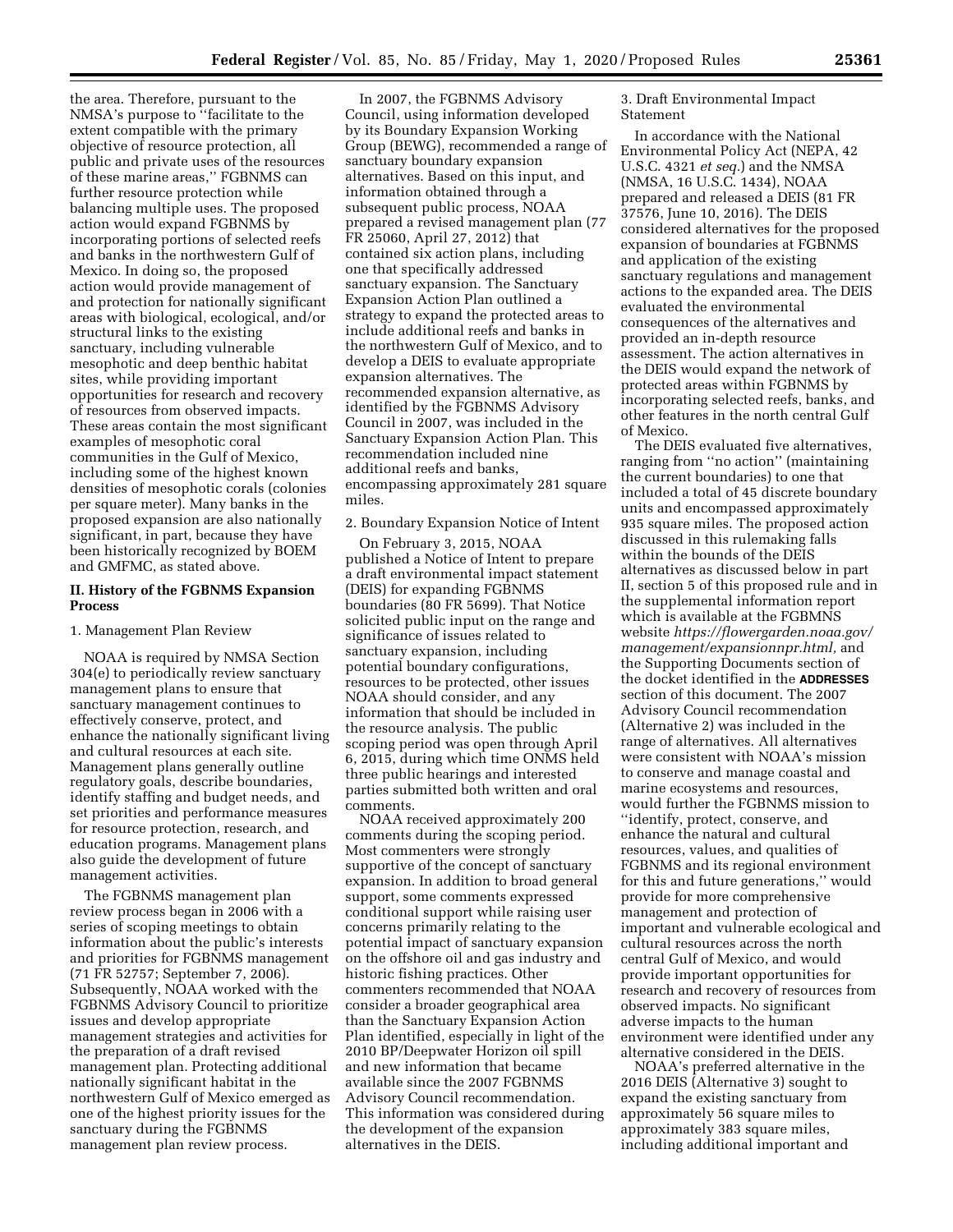the area. Therefore, pursuant to the NMSA's purpose to ''facilitate to the extent compatible with the primary objective of resource protection, all public and private uses of the resources of these marine areas,'' FGBNMS can further resource protection while balancing multiple uses. The proposed action would expand FGBNMS by incorporating portions of selected reefs and banks in the northwestern Gulf of Mexico. In doing so, the proposed action would provide management of and protection for nationally significant areas with biological, ecological, and/or structural links to the existing sanctuary, including vulnerable mesophotic and deep benthic habitat sites, while providing important opportunities for research and recovery of resources from observed impacts. These areas contain the most significant examples of mesophotic coral communities in the Gulf of Mexico, including some of the highest known densities of mesophotic corals (colonies per square meter). Many banks in the proposed expansion are also nationally significant, in part, because they have been historically recognized by BOEM and GMFMC, as stated above.

### **II. History of the FGBNMS Expansion Process**

#### 1. Management Plan Review

NOAA is required by NMSA Section 304(e) to periodically review sanctuary management plans to ensure that sanctuary management continues to effectively conserve, protect, and enhance the nationally significant living and cultural resources at each site. Management plans generally outline regulatory goals, describe boundaries, identify staffing and budget needs, and set priorities and performance measures for resource protection, research, and education programs. Management plans also guide the development of future management activities.

The FGBNMS management plan review process began in 2006 with a series of scoping meetings to obtain information about the public's interests and priorities for FGBNMS management (71 FR 52757; September 7, 2006). Subsequently, NOAA worked with the FGBNMS Advisory Council to prioritize issues and develop appropriate management strategies and activities for the preparation of a draft revised management plan. Protecting additional nationally significant habitat in the northwestern Gulf of Mexico emerged as one of the highest priority issues for the sanctuary during the FGBNMS management plan review process.

In 2007, the FGBNMS Advisory Council, using information developed by its Boundary Expansion Working Group (BEWG), recommended a range of sanctuary boundary expansion alternatives. Based on this input, and information obtained through a subsequent public process, NOAA prepared a revised management plan (77 FR 25060, April 27, 2012) that contained six action plans, including one that specifically addressed sanctuary expansion. The Sanctuary Expansion Action Plan outlined a strategy to expand the protected areas to include additional reefs and banks in the northwestern Gulf of Mexico, and to develop a DEIS to evaluate appropriate expansion alternatives. The recommended expansion alternative, as identified by the FGBNMS Advisory Council in 2007, was included in the Sanctuary Expansion Action Plan. This recommendation included nine additional reefs and banks, encompassing approximately 281 square miles.

#### 2. Boundary Expansion Notice of Intent

On February 3, 2015, NOAA published a Notice of Intent to prepare a draft environmental impact statement (DEIS) for expanding FGBNMS boundaries (80 FR 5699). That Notice solicited public input on the range and significance of issues related to sanctuary expansion, including potential boundary configurations, resources to be protected, other issues NOAA should consider, and any information that should be included in the resource analysis. The public scoping period was open through April 6, 2015, during which time ONMS held three public hearings and interested parties submitted both written and oral comments.

NOAA received approximately 200 comments during the scoping period. Most commenters were strongly supportive of the concept of sanctuary expansion. In addition to broad general support, some comments expressed conditional support while raising user concerns primarily relating to the potential impact of sanctuary expansion on the offshore oil and gas industry and historic fishing practices. Other commenters recommended that NOAA consider a broader geographical area than the Sanctuary Expansion Action Plan identified, especially in light of the 2010 BP/Deepwater Horizon oil spill and new information that became available since the 2007 FGBNMS Advisory Council recommendation. This information was considered during the development of the expansion alternatives in the DEIS.

3. Draft Environmental Impact Statement

In accordance with the National Environmental Policy Act (NEPA, 42 U.S.C. 4321 *et seq.*) and the NMSA (NMSA, 16 U.S.C. 1434), NOAA prepared and released a DEIS (81 FR 37576, June 10, 2016). The DEIS considered alternatives for the proposed expansion of boundaries at FGBNMS and application of the existing sanctuary regulations and management actions to the expanded area. The DEIS evaluated the environmental consequences of the alternatives and provided an in-depth resource assessment. The action alternatives in the DEIS would expand the network of protected areas within FGBNMS by incorporating selected reefs, banks, and other features in the north central Gulf of Mexico.

The DEIS evaluated five alternatives, ranging from ''no action'' (maintaining the current boundaries) to one that included a total of 45 discrete boundary units and encompassed approximately 935 square miles. The proposed action discussed in this rulemaking falls within the bounds of the DEIS alternatives as discussed below in part II, section 5 of this proposed rule and in the supplemental information report which is available at the FGBMNS website *https://flowergarden.noaa.gov/ management/expansionnpr.html,* and the Supporting Documents section of the docket identified in the **ADDRESSES** section of this document. The 2007 Advisory Council recommendation (Alternative 2) was included in the range of alternatives. All alternatives were consistent with NOAA's mission to conserve and manage coastal and marine ecosystems and resources, would further the FGBNMS mission to ''identify, protect, conserve, and enhance the natural and cultural resources, values, and qualities of FGBNMS and its regional environment for this and future generations,'' would provide for more comprehensive management and protection of important and vulnerable ecological and cultural resources across the north central Gulf of Mexico, and would provide important opportunities for research and recovery of resources from observed impacts. No significant adverse impacts to the human environment were identified under any alternative considered in the DEIS.

NOAA's preferred alternative in the 2016 DEIS (Alternative 3) sought to expand the existing sanctuary from approximately 56 square miles to approximately 383 square miles, including additional important and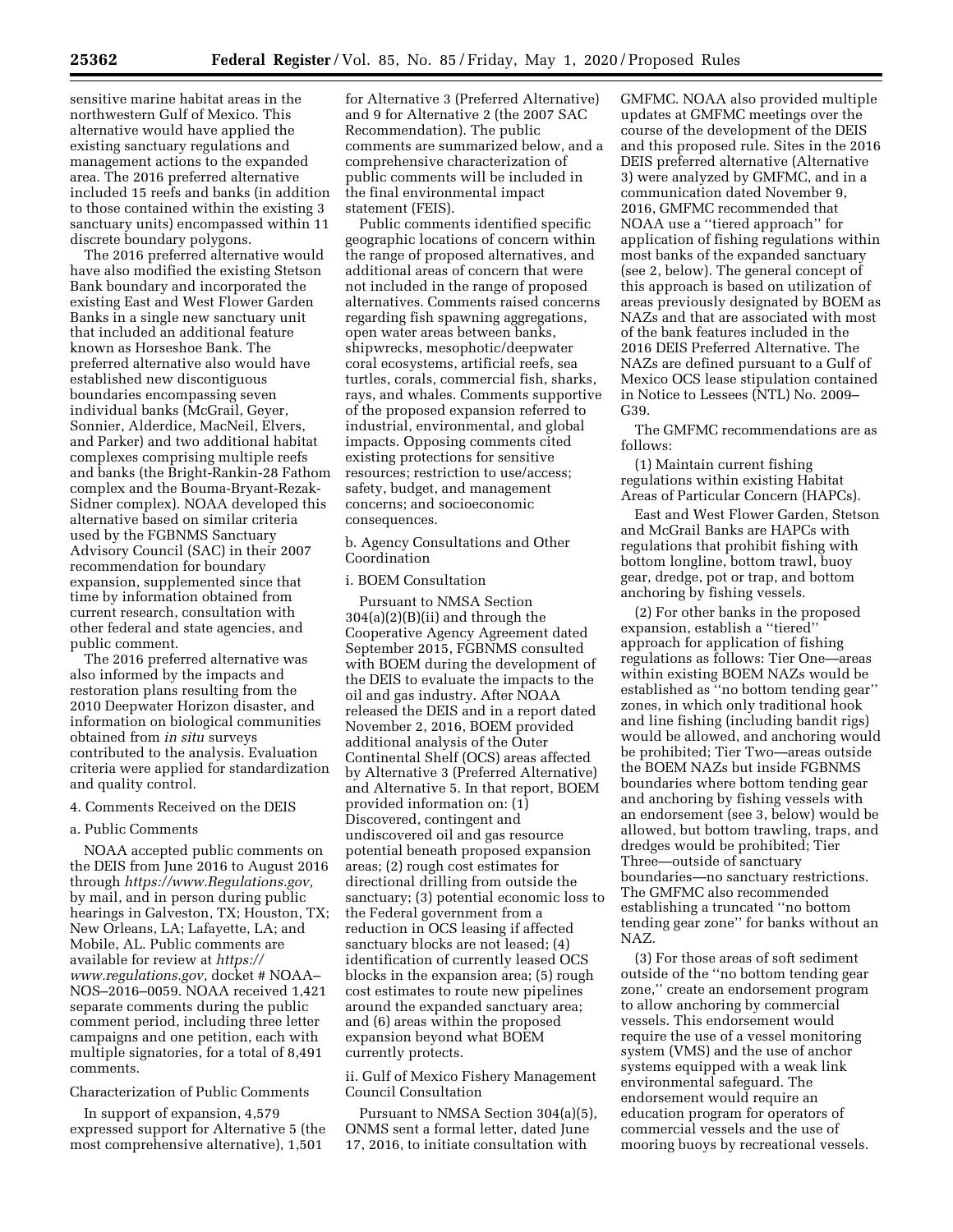sensitive marine habitat areas in the northwestern Gulf of Mexico. This alternative would have applied the existing sanctuary regulations and management actions to the expanded area. The 2016 preferred alternative included 15 reefs and banks (in addition to those contained within the existing 3 sanctuary units) encompassed within 11 discrete boundary polygons.

The 2016 preferred alternative would have also modified the existing Stetson Bank boundary and incorporated the existing East and West Flower Garden Banks in a single new sanctuary unit that included an additional feature known as Horseshoe Bank. The preferred alternative also would have established new discontiguous boundaries encompassing seven individual banks (McGrail, Geyer, Sonnier, Alderdice, MacNeil, Elvers, and Parker) and two additional habitat complexes comprising multiple reefs and banks (the Bright-Rankin-28 Fathom complex and the Bouma-Bryant-Rezak-Sidner complex). NOAA developed this alternative based on similar criteria used by the FGBNMS Sanctuary Advisory Council (SAC) in their 2007 recommendation for boundary expansion, supplemented since that time by information obtained from current research, consultation with other federal and state agencies, and public comment.

The 2016 preferred alternative was also informed by the impacts and restoration plans resulting from the 2010 Deepwater Horizon disaster, and information on biological communities obtained from *in situ* surveys contributed to the analysis. Evaluation criteria were applied for standardization and quality control.

#### 4. Comments Received on the DEIS

### a. Public Comments

NOAA accepted public comments on the DEIS from June 2016 to August 2016 through *https://www.Regulations.gov,*  by mail, and in person during public hearings in Galveston, TX; Houston, TX; New Orleans, LA; Lafayette, LA; and Mobile, AL. Public comments are available for review at *https:// www.regulations.gov,* docket # NOAA– NOS–2016–0059. NOAA received 1,421 separate comments during the public comment period, including three letter campaigns and one petition, each with multiple signatories, for a total of 8,491 comments.

## Characterization of Public Comments

In support of expansion, 4,579 expressed support for Alternative 5 (the most comprehensive alternative), 1,501

for Alternative 3 (Preferred Alternative) and 9 for Alternative 2 (the 2007 SAC Recommendation). The public comments are summarized below, and a comprehensive characterization of public comments will be included in the final environmental impact statement (FEIS).

Public comments identified specific geographic locations of concern within the range of proposed alternatives, and additional areas of concern that were not included in the range of proposed alternatives. Comments raised concerns regarding fish spawning aggregations, open water areas between banks, shipwrecks, mesophotic/deepwater coral ecosystems, artificial reefs, sea turtles, corals, commercial fish, sharks, rays, and whales. Comments supportive of the proposed expansion referred to industrial, environmental, and global impacts. Opposing comments cited existing protections for sensitive resources; restriction to use/access; safety, budget, and management concerns; and socioeconomic consequences.

b. Agency Consultations and Other Coordination

# i. BOEM Consultation

Pursuant to NMSA Section  $304(a)(2)(B)(ii)$  and through the Cooperative Agency Agreement dated September 2015, FGBNMS consulted with BOEM during the development of the DEIS to evaluate the impacts to the oil and gas industry. After NOAA released the DEIS and in a report dated November 2, 2016, BOEM provided additional analysis of the Outer Continental Shelf (OCS) areas affected by Alternative 3 (Preferred Alternative) and Alternative 5. In that report, BOEM provided information on: (1) Discovered, contingent and undiscovered oil and gas resource potential beneath proposed expansion areas; (2) rough cost estimates for directional drilling from outside the sanctuary; (3) potential economic loss to the Federal government from a reduction in OCS leasing if affected sanctuary blocks are not leased; (4) identification of currently leased OCS blocks in the expansion area; (5) rough cost estimates to route new pipelines around the expanded sanctuary area; and (6) areas within the proposed expansion beyond what BOEM currently protects.

ii. Gulf of Mexico Fishery Management Council Consultation

Pursuant to NMSA Section 304(a)(5), ONMS sent a formal letter, dated June 17, 2016, to initiate consultation with

GMFMC. NOAA also provided multiple updates at GMFMC meetings over the course of the development of the DEIS and this proposed rule. Sites in the 2016 DEIS preferred alternative (Alternative 3) were analyzed by GMFMC, and in a communication dated November 9, 2016, GMFMC recommended that NOAA use a ''tiered approach'' for application of fishing regulations within most banks of the expanded sanctuary (see 2, below). The general concept of this approach is based on utilization of areas previously designated by BOEM as NAZs and that are associated with most of the bank features included in the 2016 DEIS Preferred Alternative. The NAZs are defined pursuant to a Gulf of Mexico OCS lease stipulation contained in Notice to Lessees (NTL) No. 2009– G39.

The GMFMC recommendations are as follows:

(1) Maintain current fishing regulations within existing Habitat Areas of Particular Concern (HAPCs).

East and West Flower Garden, Stetson and McGrail Banks are HAPCs with regulations that prohibit fishing with bottom longline, bottom trawl, buoy gear, dredge, pot or trap, and bottom anchoring by fishing vessels.

(2) For other banks in the proposed expansion, establish a ''tiered'' approach for application of fishing regulations as follows: Tier One—areas within existing BOEM NAZs would be established as ''no bottom tending gear'' zones, in which only traditional hook and line fishing (including bandit rigs) would be allowed, and anchoring would be prohibited; Tier Two—areas outside the BOEM NAZs but inside FGBNMS boundaries where bottom tending gear and anchoring by fishing vessels with an endorsement (see 3, below) would be allowed, but bottom trawling, traps, and dredges would be prohibited; Tier Three—outside of sanctuary boundaries—no sanctuary restrictions. The GMFMC also recommended establishing a truncated ''no bottom tending gear zone'' for banks without an NAZ.

(3) For those areas of soft sediment outside of the ''no bottom tending gear zone,'' create an endorsement program to allow anchoring by commercial vessels. This endorsement would require the use of a vessel monitoring system (VMS) and the use of anchor systems equipped with a weak link environmental safeguard. The endorsement would require an education program for operators of commercial vessels and the use of mooring buoys by recreational vessels.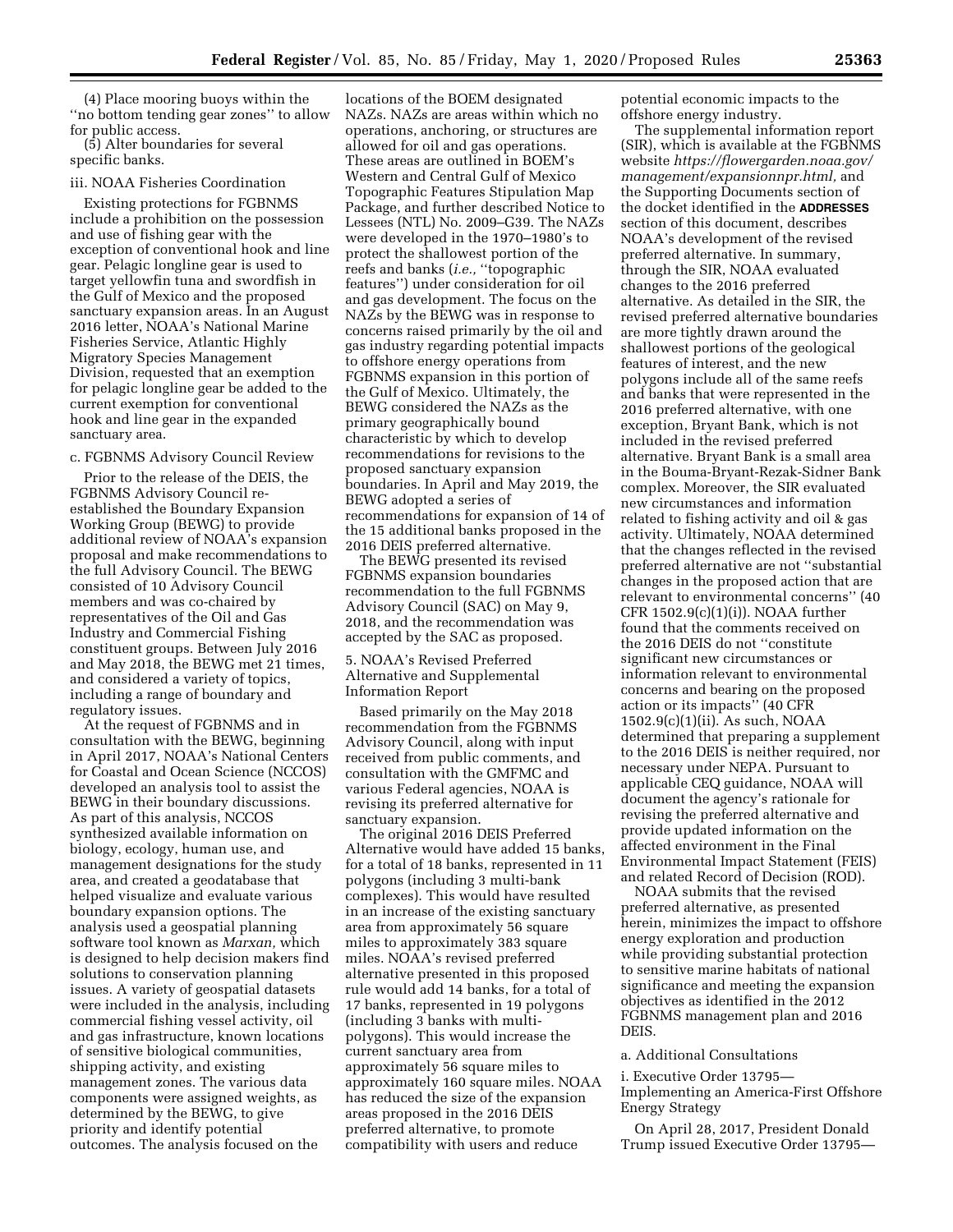(4) Place mooring buoys within the ''no bottom tending gear zones'' to allow for public access.

(5) Alter boundaries for several specific banks.

#### iii. NOAA Fisheries Coordination

Existing protections for FGBNMS include a prohibition on the possession and use of fishing gear with the exception of conventional hook and line gear. Pelagic longline gear is used to target yellowfin tuna and swordfish in the Gulf of Mexico and the proposed sanctuary expansion areas. In an August 2016 letter, NOAA's National Marine Fisheries Service, Atlantic Highly Migratory Species Management Division, requested that an exemption for pelagic longline gear be added to the current exemption for conventional hook and line gear in the expanded sanctuary area.

#### c. FGBNMS Advisory Council Review

Prior to the release of the DEIS, the FGBNMS Advisory Council reestablished the Boundary Expansion Working Group (BEWG) to provide additional review of NOAA's expansion proposal and make recommendations to the full Advisory Council. The BEWG consisted of 10 Advisory Council members and was co-chaired by representatives of the Oil and Gas Industry and Commercial Fishing constituent groups. Between July 2016 and May 2018, the BEWG met 21 times, and considered a variety of topics, including a range of boundary and regulatory issues.

At the request of FGBNMS and in consultation with the BEWG, beginning in April 2017, NOAA's National Centers for Coastal and Ocean Science (NCCOS) developed an analysis tool to assist the BEWG in their boundary discussions. As part of this analysis, NCCOS synthesized available information on biology, ecology, human use, and management designations for the study area, and created a geodatabase that helped visualize and evaluate various boundary expansion options. The analysis used a geospatial planning software tool known as *Marxan,* which is designed to help decision makers find solutions to conservation planning issues. A variety of geospatial datasets were included in the analysis, including commercial fishing vessel activity, oil and gas infrastructure, known locations of sensitive biological communities, shipping activity, and existing management zones. The various data components were assigned weights, as determined by the BEWG, to give priority and identify potential outcomes. The analysis focused on the

locations of the BOEM designated NAZs. NAZs are areas within which no operations, anchoring, or structures are allowed for oil and gas operations. These areas are outlined in BOEM's Western and Central Gulf of Mexico Topographic Features Stipulation Map Package, and further described Notice to Lessees (NTL) No. 2009–G39. The NAZs were developed in the 1970–1980's to protect the shallowest portion of the reefs and banks (*i.e.,* ''topographic features'') under consideration for oil and gas development. The focus on the NAZs by the BEWG was in response to concerns raised primarily by the oil and gas industry regarding potential impacts to offshore energy operations from FGBNMS expansion in this portion of the Gulf of Mexico. Ultimately, the BEWG considered the NAZs as the primary geographically bound characteristic by which to develop recommendations for revisions to the proposed sanctuary expansion boundaries. In April and May 2019, the BEWG adopted a series of recommendations for expansion of 14 of the 15 additional banks proposed in the 2016 DEIS preferred alternative.

The BEWG presented its revised FGBNMS expansion boundaries recommendation to the full FGBNMS Advisory Council (SAC) on May 9, 2018, and the recommendation was accepted by the SAC as proposed.

## 5. NOAA's Revised Preferred Alternative and Supplemental Information Report

Based primarily on the May 2018 recommendation from the FGBNMS Advisory Council, along with input received from public comments, and consultation with the GMFMC and various Federal agencies, NOAA is revising its preferred alternative for sanctuary expansion.

The original 2016 DEIS Preferred Alternative would have added 15 banks, for a total of 18 banks, represented in 11 polygons (including 3 multi-bank complexes). This would have resulted in an increase of the existing sanctuary area from approximately 56 square miles to approximately 383 square miles. NOAA's revised preferred alternative presented in this proposed rule would add 14 banks, for a total of 17 banks, represented in 19 polygons (including 3 banks with multipolygons). This would increase the current sanctuary area from approximately 56 square miles to approximately 160 square miles. NOAA has reduced the size of the expansion areas proposed in the 2016 DEIS preferred alternative, to promote compatibility with users and reduce

potential economic impacts to the offshore energy industry.

The supplemental information report (SIR), which is available at the FGBNMS website *https://flowergarden.noaa.gov/ management/expansionnpr.html,* and the Supporting Documents section of the docket identified in the **ADDRESSES** section of this document, describes NOAA's development of the revised preferred alternative. In summary, through the SIR, NOAA evaluated changes to the 2016 preferred alternative. As detailed in the SIR, the revised preferred alternative boundaries are more tightly drawn around the shallowest portions of the geological features of interest, and the new polygons include all of the same reefs and banks that were represented in the 2016 preferred alternative, with one exception, Bryant Bank, which is not included in the revised preferred alternative. Bryant Bank is a small area in the Bouma-Bryant-Rezak-Sidner Bank complex. Moreover, the SIR evaluated new circumstances and information related to fishing activity and oil & gas activity. Ultimately, NOAA determined that the changes reflected in the revised preferred alternative are not ''substantial changes in the proposed action that are relevant to environmental concerns'' (40 CFR  $1502.9(c)(1)(i)$ ). NOAA further found that the comments received on the 2016 DEIS do not ''constitute significant new circumstances or information relevant to environmental concerns and bearing on the proposed action or its impacts'' (40 CFR 1502.9(c)(1)(ii). As such, NOAA determined that preparing a supplement to the 2016 DEIS is neither required, nor necessary under NEPA. Pursuant to applicable CEQ guidance, NOAA will document the agency's rationale for revising the preferred alternative and provide updated information on the affected environment in the Final Environmental Impact Statement (FEIS) and related Record of Decision (ROD).

NOAA submits that the revised preferred alternative, as presented herein, minimizes the impact to offshore energy exploration and production while providing substantial protection to sensitive marine habitats of national significance and meeting the expansion objectives as identified in the 2012 FGBNMS management plan and 2016 DEIS.

### a. Additional Consultations

i. Executive Order 13795— Implementing an America-First Offshore Energy Strategy

On April 28, 2017, President Donald Trump issued Executive Order 13795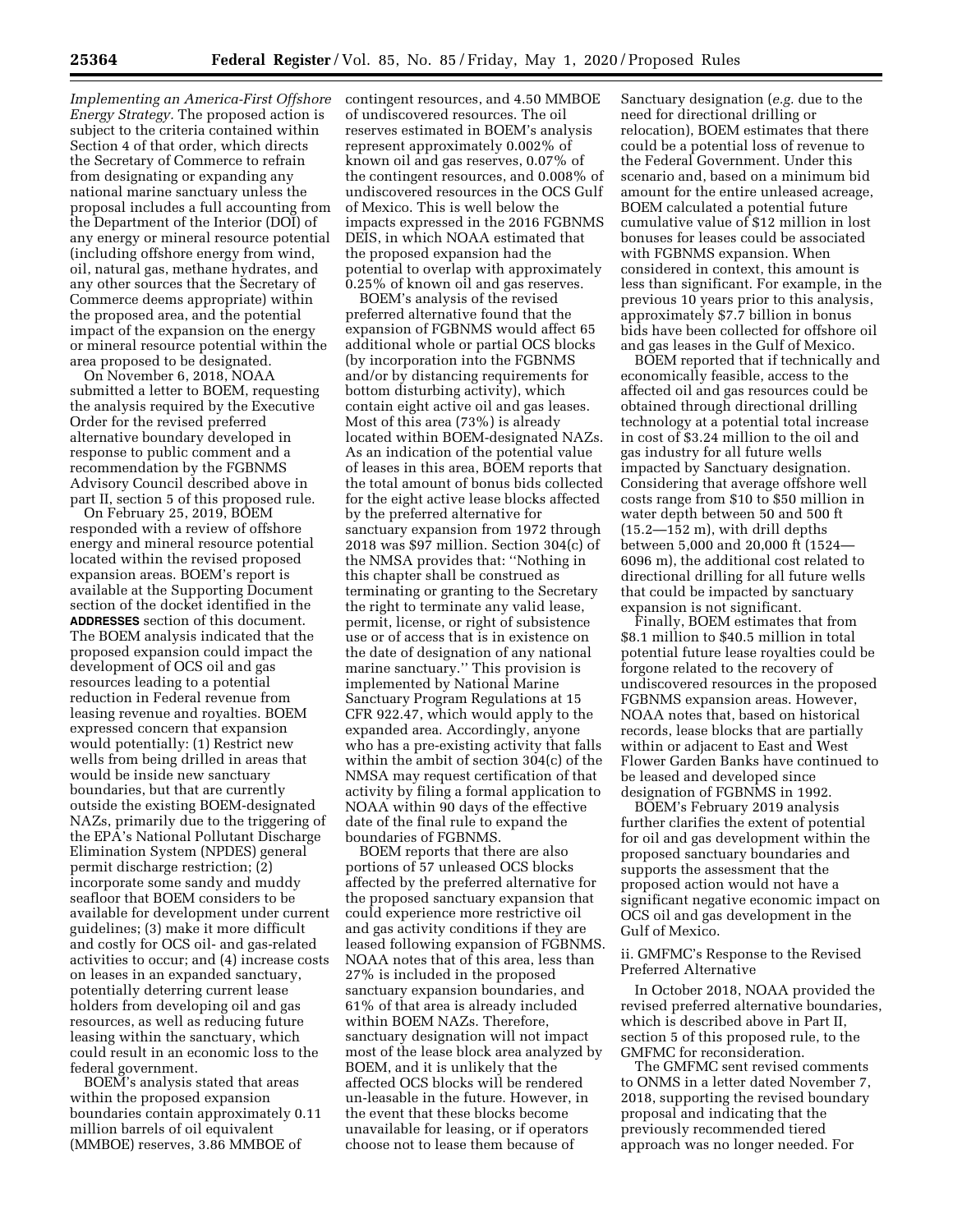*Implementing an America-First Offshore Energy Strategy.* The proposed action is subject to the criteria contained within Section 4 of that order, which directs the Secretary of Commerce to refrain from designating or expanding any national marine sanctuary unless the proposal includes a full accounting from the Department of the Interior (DOI) of any energy or mineral resource potential (including offshore energy from wind, oil, natural gas, methane hydrates, and any other sources that the Secretary of Commerce deems appropriate) within the proposed area, and the potential impact of the expansion on the energy or mineral resource potential within the area proposed to be designated.

On November 6, 2018, NOAA submitted a letter to BOEM, requesting the analysis required by the Executive Order for the revised preferred alternative boundary developed in response to public comment and a recommendation by the FGBNMS Advisory Council described above in part II, section 5 of this proposed rule.

On February 25, 2019, BOEM responded with a review of offshore energy and mineral resource potential located within the revised proposed expansion areas. BOEM's report is available at the Supporting Document section of the docket identified in the **ADDRESSES** section of this document. The BOEM analysis indicated that the proposed expansion could impact the development of OCS oil and gas resources leading to a potential reduction in Federal revenue from leasing revenue and royalties. BOEM expressed concern that expansion would potentially: (1) Restrict new wells from being drilled in areas that would be inside new sanctuary boundaries, but that are currently outside the existing BOEM-designated NAZs, primarily due to the triggering of the EPA's National Pollutant Discharge Elimination System (NPDES) general permit discharge restriction; (2) incorporate some sandy and muddy seafloor that BOEM considers to be available for development under current guidelines; (3) make it more difficult and costly for OCS oil- and gas-related activities to occur; and (4) increase costs on leases in an expanded sanctuary, potentially deterring current lease holders from developing oil and gas resources, as well as reducing future leasing within the sanctuary, which could result in an economic loss to the federal government.

BOEM's analysis stated that areas within the proposed expansion boundaries contain approximately 0.11 million barrels of oil equivalent (MMBOE) reserves, 3.86 MMBOE of

contingent resources, and 4.50 MMBOE of undiscovered resources. The oil reserves estimated in BOEM's analysis represent approximately 0.002% of known oil and gas reserves, 0.07% of the contingent resources, and 0.008% of undiscovered resources in the OCS Gulf of Mexico. This is well below the impacts expressed in the 2016 FGBNMS DEIS, in which NOAA estimated that the proposed expansion had the potential to overlap with approximately 0.25% of known oil and gas reserves.

BOEM's analysis of the revised preferred alternative found that the expansion of FGBNMS would affect 65 additional whole or partial OCS blocks (by incorporation into the FGBNMS and/or by distancing requirements for bottom disturbing activity), which contain eight active oil and gas leases. Most of this area (73%) is already located within BOEM-designated NAZs. As an indication of the potential value of leases in this area, BOEM reports that the total amount of bonus bids collected for the eight active lease blocks affected by the preferred alternative for sanctuary expansion from 1972 through 2018 was \$97 million. Section 304(c) of the NMSA provides that: ''Nothing in this chapter shall be construed as terminating or granting to the Secretary the right to terminate any valid lease, permit, license, or right of subsistence use or of access that is in existence on the date of designation of any national marine sanctuary.'' This provision is implemented by National Marine Sanctuary Program Regulations at 15 CFR 922.47, which would apply to the expanded area. Accordingly, anyone who has a pre-existing activity that falls within the ambit of section 304(c) of the NMSA may request certification of that activity by filing a formal application to NOAA within 90 days of the effective date of the final rule to expand the boundaries of FGBNMS.

BOEM reports that there are also portions of 57 unleased OCS blocks affected by the preferred alternative for the proposed sanctuary expansion that could experience more restrictive oil and gas activity conditions if they are leased following expansion of FGBNMS. NOAA notes that of this area, less than 27% is included in the proposed sanctuary expansion boundaries, and 61% of that area is already included within BOEM NAZs. Therefore, sanctuary designation will not impact most of the lease block area analyzed by BOEM, and it is unlikely that the affected OCS blocks will be rendered un-leasable in the future. However, in the event that these blocks become unavailable for leasing, or if operators choose not to lease them because of

Sanctuary designation (*e.g.* due to the need for directional drilling or relocation), BOEM estimates that there could be a potential loss of revenue to the Federal Government. Under this scenario and, based on a minimum bid amount for the entire unleased acreage, BOEM calculated a potential future cumulative value of \$12 million in lost bonuses for leases could be associated with FGBNMS expansion. When considered in context, this amount is less than significant. For example, in the previous 10 years prior to this analysis, approximately \$7.7 billion in bonus bids have been collected for offshore oil and gas leases in the Gulf of Mexico.

BOEM reported that if technically and economically feasible, access to the affected oil and gas resources could be obtained through directional drilling technology at a potential total increase in cost of \$3.24 million to the oil and gas industry for all future wells impacted by Sanctuary designation. Considering that average offshore well costs range from \$10 to \$50 million in water depth between 50 and 500 ft (15.2—152 m), with drill depths between 5,000 and 20,000 ft (1524— 6096 m), the additional cost related to directional drilling for all future wells that could be impacted by sanctuary expansion is not significant.

Finally, BOEM estimates that from \$8.1 million to \$40.5 million in total potential future lease royalties could be forgone related to the recovery of undiscovered resources in the proposed FGBNMS expansion areas. However, NOAA notes that, based on historical records, lease blocks that are partially within or adjacent to East and West Flower Garden Banks have continued to be leased and developed since designation of FGBNMS in 1992.

BOEM's February 2019 analysis further clarifies the extent of potential for oil and gas development within the proposed sanctuary boundaries and supports the assessment that the proposed action would not have a significant negative economic impact on OCS oil and gas development in the Gulf of Mexico.

ii. GMFMC's Response to the Revised Preferred Alternative

In October 2018, NOAA provided the revised preferred alternative boundaries, which is described above in Part II, section 5 of this proposed rule, to the GMFMC for reconsideration.

The GMFMC sent revised comments to ONMS in a letter dated November 7, 2018, supporting the revised boundary proposal and indicating that the previously recommended tiered approach was no longer needed. For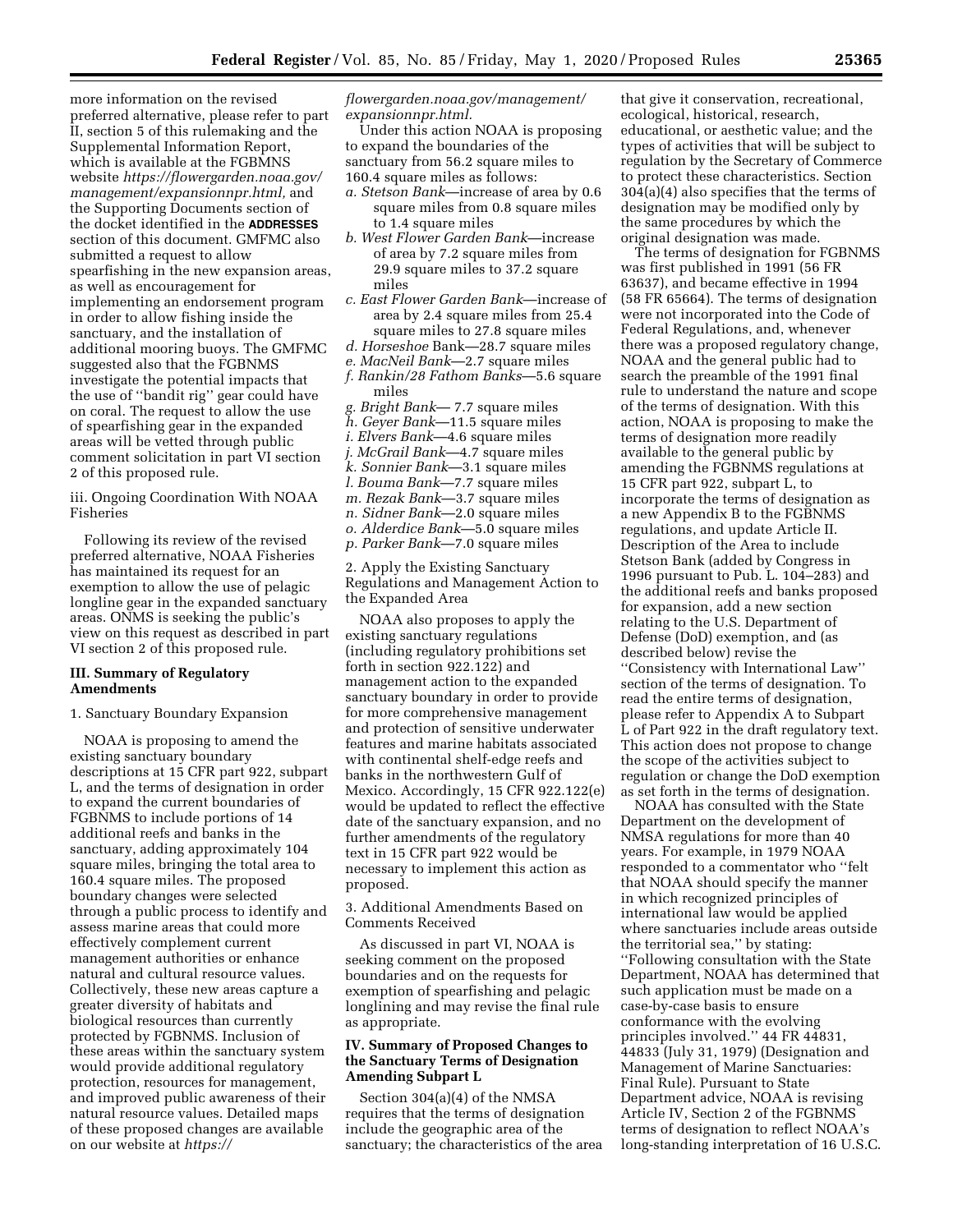more information on the revised preferred alternative, please refer to part II, section 5 of this rulemaking and the Supplemental Information Report, which is available at the FGBMNS website *https://flowergarden.noaa.gov/ management/expansionnpr.html,* and the Supporting Documents section of the docket identified in the **ADDRESSES** section of this document. GMFMC also submitted a request to allow spearfishing in the new expansion areas, as well as encouragement for implementing an endorsement program in order to allow fishing inside the sanctuary, and the installation of additional mooring buoys. The GMFMC suggested also that the FGBNMS investigate the potential impacts that the use of ''bandit rig'' gear could have on coral. The request to allow the use of spearfishing gear in the expanded areas will be vetted through public comment solicitation in part VI section 2 of this proposed rule.

iii. Ongoing Coordination With NOAA Fisheries

Following its review of the revised preferred alternative, NOAA Fisheries has maintained its request for an exemption to allow the use of pelagic longline gear in the expanded sanctuary areas. ONMS is seeking the public's view on this request as described in part VI section 2 of this proposed rule.

### **III. Summary of Regulatory Amendments**

1. Sanctuary Boundary Expansion

NOAA is proposing to amend the existing sanctuary boundary descriptions at 15 CFR part 922, subpart L, and the terms of designation in order to expand the current boundaries of FGBNMS to include portions of 14 additional reefs and banks in the sanctuary, adding approximately 104 square miles, bringing the total area to 160.4 square miles. The proposed boundary changes were selected through a public process to identify and assess marine areas that could more effectively complement current management authorities or enhance natural and cultural resource values. Collectively, these new areas capture a greater diversity of habitats and biological resources than currently protected by FGBNMS. Inclusion of these areas within the sanctuary system would provide additional regulatory protection, resources for management, and improved public awareness of their natural resource values. Detailed maps of these proposed changes are available on our website at *https://*

*flowergarden.noaa.gov/management/ expansionnpr.html.* 

Under this action NOAA is proposing to expand the boundaries of the sanctuary from 56.2 square miles to 160.4 square miles as follows:

- *a. Stetson Bank*—increase of area by 0.6 square miles from 0.8 square miles to 1.4 square miles
- *b. West Flower Garden Bank*—increase of area by 7.2 square miles from 29.9 square miles to 37.2 square miles
- *c. East Flower Garden Bank*—increase of area by 2.4 square miles from 25.4 square miles to 27.8 square miles
- *d. Horseshoe* Bank—28.7 square miles
- *e. MacNeil Bank*—2.7 square miles *f. Rankin/28 Fathom Banks*—5.6 square miles
- *g. Bright Bank* 7.7 square miles
- *h. Geyer Bank*—11.5 square miles
- *i. Elvers Bank*—4.6 square miles
- *j. McGrail Bank*—4.7 square miles
- *k. Sonnier Bank*—3.1 square miles
- *l. Bouma Bank*—7.7 square miles
- *m. Rezak Bank*—3.7 square miles
- *n. Sidner Bank*—2.0 square miles
- *o. Alderdice Bank*—5.0 square miles
- *p. Parker Bank*—7.0 square miles

2. Apply the Existing Sanctuary Regulations and Management Action to the Expanded Area

NOAA also proposes to apply the existing sanctuary regulations (including regulatory prohibitions set forth in section 922.122) and management action to the expanded sanctuary boundary in order to provide for more comprehensive management and protection of sensitive underwater features and marine habitats associated with continental shelf-edge reefs and banks in the northwestern Gulf of Mexico. Accordingly, 15 CFR 922.122(e) would be updated to reflect the effective date of the sanctuary expansion, and no further amendments of the regulatory text in 15 CFR part 922 would be necessary to implement this action as proposed.

3. Additional Amendments Based on Comments Received

As discussed in part VI, NOAA is seeking comment on the proposed boundaries and on the requests for exemption of spearfishing and pelagic longlining and may revise the final rule as appropriate.

# **IV. Summary of Proposed Changes to the Sanctuary Terms of Designation Amending Subpart L**

Section 304(a)(4) of the NMSA requires that the terms of designation include the geographic area of the sanctuary; the characteristics of the area

that give it conservation, recreational, ecological, historical, research, educational, or aesthetic value; and the types of activities that will be subject to regulation by the Secretary of Commerce to protect these characteristics. Section 304(a)(4) also specifies that the terms of designation may be modified only by the same procedures by which the original designation was made.

The terms of designation for FGBNMS was first published in 1991 (56 FR 63637), and became effective in 1994 (58 FR 65664). The terms of designation were not incorporated into the Code of Federal Regulations, and, whenever there was a proposed regulatory change, NOAA and the general public had to search the preamble of the 1991 final rule to understand the nature and scope of the terms of designation. With this action, NOAA is proposing to make the terms of designation more readily available to the general public by amending the FGBNMS regulations at 15 CFR part 922, subpart L, to incorporate the terms of designation as a new Appendix B to the FGBNMS regulations, and update Article II. Description of the Area to include Stetson Bank (added by Congress in 1996 pursuant to Pub. L. 104–283) and the additional reefs and banks proposed for expansion, add a new section relating to the U.S. Department of Defense (DoD) exemption, and (as described below) revise the ''Consistency with International Law'' section of the terms of designation. To read the entire terms of designation, please refer to Appendix A to Subpart L of Part 922 in the draft regulatory text. This action does not propose to change the scope of the activities subject to regulation or change the DoD exemption as set forth in the terms of designation.

NOAA has consulted with the State Department on the development of NMSA regulations for more than 40 years. For example, in 1979 NOAA responded to a commentator who ''felt that NOAA should specify the manner in which recognized principles of international law would be applied where sanctuaries include areas outside the territorial sea,'' by stating: ''Following consultation with the State Department, NOAA has determined that such application must be made on a case-by-case basis to ensure conformance with the evolving principles involved.'' 44 FR 44831, 44833 (July 31, 1979) (Designation and Management of Marine Sanctuaries: Final Rule). Pursuant to State Department advice, NOAA is revising Article IV, Section 2 of the FGBNMS terms of designation to reflect NOAA's long-standing interpretation of 16 U.S.C.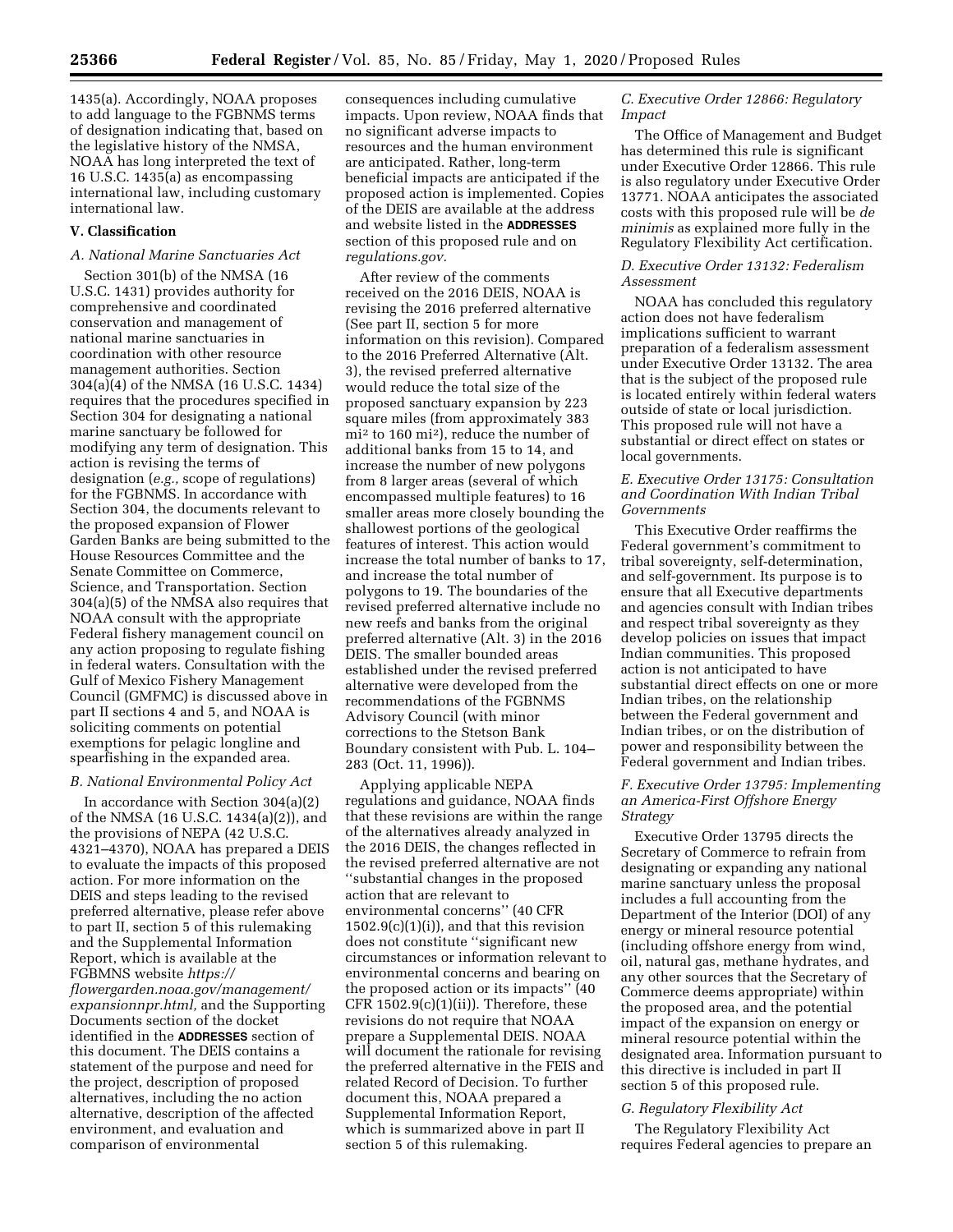1435(a). Accordingly, NOAA proposes to add language to the FGBNMS terms of designation indicating that, based on the legislative history of the NMSA, NOAA has long interpreted the text of 16 U.S.C. 1435(a) as encompassing international law, including customary international law.

### **V. Classification**

# *A. National Marine Sanctuaries Act*

Section 301(b) of the NMSA (16 U.S.C. 1431) provides authority for comprehensive and coordinated conservation and management of national marine sanctuaries in coordination with other resource management authorities. Section 304(a)(4) of the NMSA (16 U.S.C. 1434) requires that the procedures specified in Section 304 for designating a national marine sanctuary be followed for modifying any term of designation. This action is revising the terms of designation (*e.g.,* scope of regulations) for the FGBNMS. In accordance with Section 304, the documents relevant to the proposed expansion of Flower Garden Banks are being submitted to the House Resources Committee and the Senate Committee on Commerce, Science, and Transportation. Section 304(a)(5) of the NMSA also requires that NOAA consult with the appropriate Federal fishery management council on any action proposing to regulate fishing in federal waters. Consultation with the Gulf of Mexico Fishery Management Council (GMFMC) is discussed above in part II sections 4 and 5, and NOAA is soliciting comments on potential exemptions for pelagic longline and spearfishing in the expanded area.

#### *B. National Environmental Policy Act*

In accordance with Section 304(a)(2) of the NMSA (16 U.S.C. 1434(a)(2)), and the provisions of NEPA (42 U.S.C. 4321–4370), NOAA has prepared a DEIS to evaluate the impacts of this proposed action. For more information on the DEIS and steps leading to the revised preferred alternative, please refer above to part II, section 5 of this rulemaking and the Supplemental Information Report, which is available at the FGBMNS website *https:// flowergarden.noaa.gov/management/ expansionnpr.html,* and the Supporting Documents section of the docket identified in the **ADDRESSES** section of this document. The DEIS contains a statement of the purpose and need for the project, description of proposed alternatives, including the no action alternative, description of the affected environment, and evaluation and comparison of environmental

consequences including cumulative impacts. Upon review, NOAA finds that no significant adverse impacts to resources and the human environment are anticipated. Rather, long-term beneficial impacts are anticipated if the proposed action is implemented. Copies of the DEIS are available at the address and website listed in the **ADDRESSES** section of this proposed rule and on *regulations.gov.* 

After review of the comments received on the 2016 DEIS, NOAA is revising the 2016 preferred alternative (See part II, section 5 for more information on this revision). Compared to the 2016 Preferred Alternative (Alt. 3), the revised preferred alternative would reduce the total size of the proposed sanctuary expansion by 223 square miles (from approximately 383 mi2 to 160 mi2), reduce the number of additional banks from 15 to 14, and increase the number of new polygons from 8 larger areas (several of which encompassed multiple features) to 16 smaller areas more closely bounding the shallowest portions of the geological features of interest. This action would increase the total number of banks to 17, and increase the total number of polygons to 19. The boundaries of the revised preferred alternative include no new reefs and banks from the original preferred alternative (Alt. 3) in the 2016 DEIS. The smaller bounded areas established under the revised preferred alternative were developed from the recommendations of the FGBNMS Advisory Council (with minor corrections to the Stetson Bank Boundary consistent with Pub. L. 104– 283 (Oct. 11, 1996)).

Applying applicable NEPA regulations and guidance, NOAA finds that these revisions are within the range of the alternatives already analyzed in the 2016 DEIS, the changes reflected in the revised preferred alternative are not ''substantial changes in the proposed action that are relevant to environmental concerns'' (40 CFR  $1502.9(c)(1)(i)$ , and that this revision does not constitute ''significant new circumstances or information relevant to environmental concerns and bearing on the proposed action or its impacts'' (40 CFR  $1502.9(c)(1)(ii)$ . Therefore, these revisions do not require that NOAA prepare a Supplemental DEIS. NOAA will document the rationale for revising the preferred alternative in the FEIS and related Record of Decision. To further document this, NOAA prepared a Supplemental Information Report, which is summarized above in part II section 5 of this rulemaking.

## *C. Executive Order 12866: Regulatory Impact*

The Office of Management and Budget has determined this rule is significant under Executive Order 12866. This rule is also regulatory under Executive Order 13771. NOAA anticipates the associated costs with this proposed rule will be *de minimis* as explained more fully in the Regulatory Flexibility Act certification.

### *D. Executive Order 13132: Federalism Assessment*

NOAA has concluded this regulatory action does not have federalism implications sufficient to warrant preparation of a federalism assessment under Executive Order 13132. The area that is the subject of the proposed rule is located entirely within federal waters outside of state or local jurisdiction. This proposed rule will not have a substantial or direct effect on states or local governments.

## *E. Executive Order 13175: Consultation and Coordination With Indian Tribal Governments*

This Executive Order reaffirms the Federal government's commitment to tribal sovereignty, self-determination, and self-government. Its purpose is to ensure that all Executive departments and agencies consult with Indian tribes and respect tribal sovereignty as they develop policies on issues that impact Indian communities. This proposed action is not anticipated to have substantial direct effects on one or more Indian tribes, on the relationship between the Federal government and Indian tribes, or on the distribution of power and responsibility between the Federal government and Indian tribes.

# *F. Executive Order 13795: Implementing an America-First Offshore Energy Strategy*

Executive Order 13795 directs the Secretary of Commerce to refrain from designating or expanding any national marine sanctuary unless the proposal includes a full accounting from the Department of the Interior (DOI) of any energy or mineral resource potential (including offshore energy from wind, oil, natural gas, methane hydrates, and any other sources that the Secretary of Commerce deems appropriate) within the proposed area, and the potential impact of the expansion on energy or mineral resource potential within the designated area. Information pursuant to this directive is included in part II section 5 of this proposed rule.

### *G. Regulatory Flexibility Act*

The Regulatory Flexibility Act requires Federal agencies to prepare an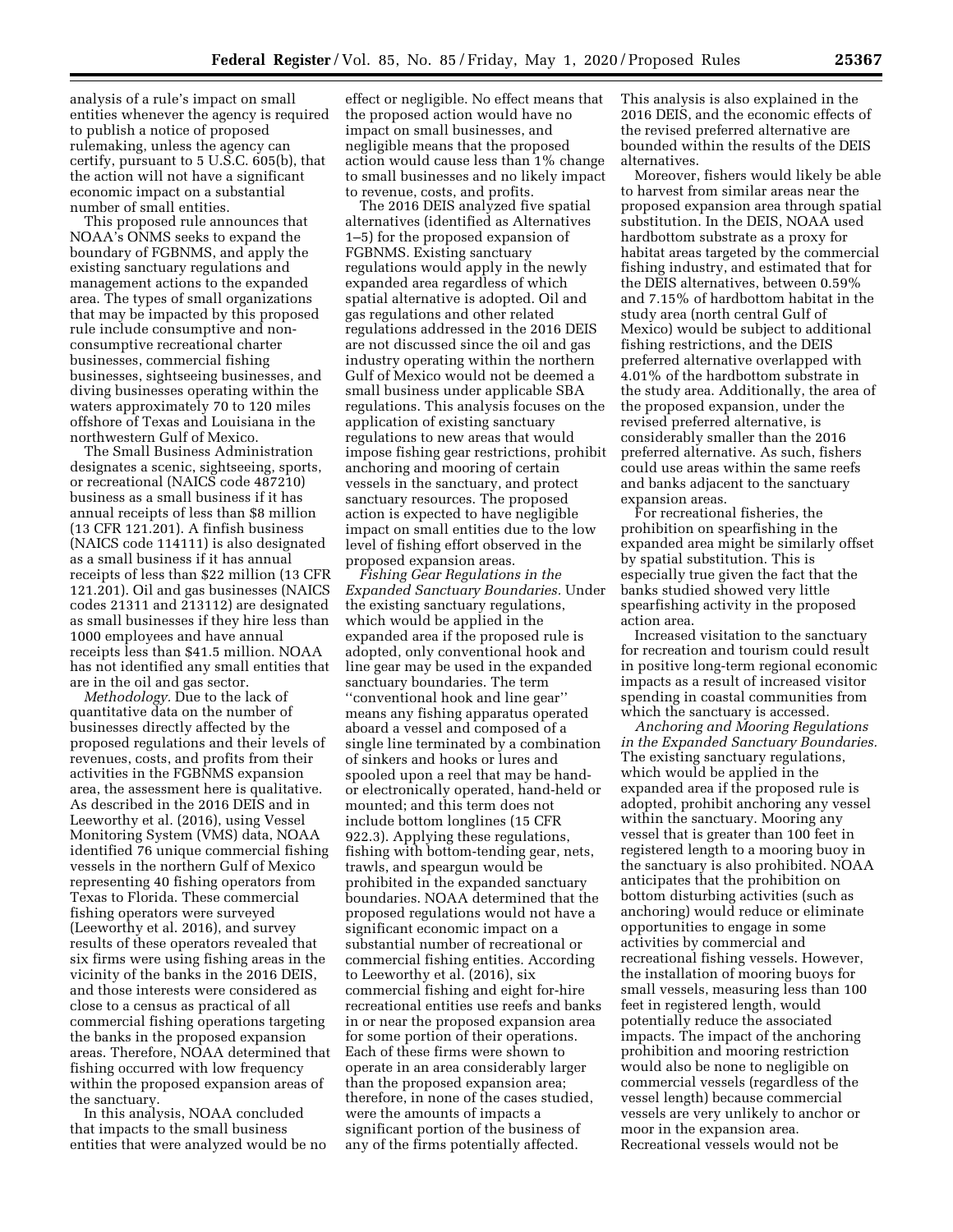analysis of a rule's impact on small entities whenever the agency is required to publish a notice of proposed rulemaking, unless the agency can certify, pursuant to 5 U.S.C. 605(b), that the action will not have a significant economic impact on a substantial number of small entities.

This proposed rule announces that NOAA's ONMS seeks to expand the boundary of FGBNMS, and apply the existing sanctuary regulations and management actions to the expanded area. The types of small organizations that may be impacted by this proposed rule include consumptive and nonconsumptive recreational charter businesses, commercial fishing businesses, sightseeing businesses, and diving businesses operating within the waters approximately 70 to 120 miles offshore of Texas and Louisiana in the northwestern Gulf of Mexico.

The Small Business Administration designates a scenic, sightseeing, sports, or recreational (NAICS code 487210) business as a small business if it has annual receipts of less than \$8 million (13 CFR 121.201). A finfish business (NAICS code 114111) is also designated as a small business if it has annual receipts of less than \$22 million (13 CFR 121.201). Oil and gas businesses (NAICS codes 21311 and 213112) are designated as small businesses if they hire less than 1000 employees and have annual receipts less than \$41.5 million. NOAA has not identified any small entities that are in the oil and gas sector.

*Methodology.* Due to the lack of quantitative data on the number of businesses directly affected by the proposed regulations and their levels of revenues, costs, and profits from their activities in the FGBNMS expansion area, the assessment here is qualitative. As described in the 2016 DEIS and in Leeworthy et al. (2016), using Vessel Monitoring System (VMS) data, NOAA identified 76 unique commercial fishing vessels in the northern Gulf of Mexico representing 40 fishing operators from Texas to Florida. These commercial fishing operators were surveyed (Leeworthy et al. 2016), and survey results of these operators revealed that six firms were using fishing areas in the vicinity of the banks in the 2016 DEIS, and those interests were considered as close to a census as practical of all commercial fishing operations targeting the banks in the proposed expansion areas. Therefore, NOAA determined that fishing occurred with low frequency within the proposed expansion areas of the sanctuary.

In this analysis, NOAA concluded that impacts to the small business entities that were analyzed would be no

effect or negligible. No effect means that the proposed action would have no impact on small businesses, and negligible means that the proposed action would cause less than 1% change to small businesses and no likely impact to revenue, costs, and profits.

The 2016 DEIS analyzed five spatial alternatives (identified as Alternatives 1–5) for the proposed expansion of FGBNMS. Existing sanctuary regulations would apply in the newly expanded area regardless of which spatial alternative is adopted. Oil and gas regulations and other related regulations addressed in the 2016 DEIS are not discussed since the oil and gas industry operating within the northern Gulf of Mexico would not be deemed a small business under applicable SBA regulations. This analysis focuses on the application of existing sanctuary regulations to new areas that would impose fishing gear restrictions, prohibit anchoring and mooring of certain vessels in the sanctuary, and protect sanctuary resources. The proposed action is expected to have negligible impact on small entities due to the low level of fishing effort observed in the proposed expansion areas.

*Fishing Gear Regulations in the Expanded Sanctuary Boundaries.* Under the existing sanctuary regulations, which would be applied in the expanded area if the proposed rule is adopted, only conventional hook and line gear may be used in the expanded sanctuary boundaries. The term ''conventional hook and line gear'' means any fishing apparatus operated aboard a vessel and composed of a single line terminated by a combination of sinkers and hooks or lures and spooled upon a reel that may be handor electronically operated, hand-held or mounted; and this term does not include bottom longlines (15 CFR 922.3). Applying these regulations, fishing with bottom-tending gear, nets, trawls, and speargun would be prohibited in the expanded sanctuary boundaries. NOAA determined that the proposed regulations would not have a significant economic impact on a substantial number of recreational or commercial fishing entities. According to Leeworthy et al. (2016), six commercial fishing and eight for-hire recreational entities use reefs and banks in or near the proposed expansion area for some portion of their operations. Each of these firms were shown to operate in an area considerably larger than the proposed expansion area; therefore, in none of the cases studied, were the amounts of impacts a significant portion of the business of any of the firms potentially affected.

This analysis is also explained in the 2016 DEIS, and the economic effects of the revised preferred alternative are bounded within the results of the DEIS alternatives.

Moreover, fishers would likely be able to harvest from similar areas near the proposed expansion area through spatial substitution. In the DEIS, NOAA used hardbottom substrate as a proxy for habitat areas targeted by the commercial fishing industry, and estimated that for the DEIS alternatives, between 0.59% and 7.15% of hardbottom habitat in the study area (north central Gulf of Mexico) would be subject to additional fishing restrictions, and the DEIS preferred alternative overlapped with 4.01% of the hardbottom substrate in the study area. Additionally, the area of the proposed expansion, under the revised preferred alternative, is considerably smaller than the 2016 preferred alternative. As such, fishers could use areas within the same reefs and banks adjacent to the sanctuary expansion areas.

For recreational fisheries, the prohibition on spearfishing in the expanded area might be similarly offset by spatial substitution. This is especially true given the fact that the banks studied showed very little spearfishing activity in the proposed action area.

Increased visitation to the sanctuary for recreation and tourism could result in positive long-term regional economic impacts as a result of increased visitor spending in coastal communities from which the sanctuary is accessed.

*Anchoring and Mooring Regulations in the Expanded Sanctuary Boundaries.*  The existing sanctuary regulations, which would be applied in the expanded area if the proposed rule is adopted, prohibit anchoring any vessel within the sanctuary. Mooring any vessel that is greater than 100 feet in registered length to a mooring buoy in the sanctuary is also prohibited. NOAA anticipates that the prohibition on bottom disturbing activities (such as anchoring) would reduce or eliminate opportunities to engage in some activities by commercial and recreational fishing vessels. However, the installation of mooring buoys for small vessels, measuring less than 100 feet in registered length, would potentially reduce the associated impacts. The impact of the anchoring prohibition and mooring restriction would also be none to negligible on commercial vessels (regardless of the vessel length) because commercial vessels are very unlikely to anchor or moor in the expansion area. Recreational vessels would not be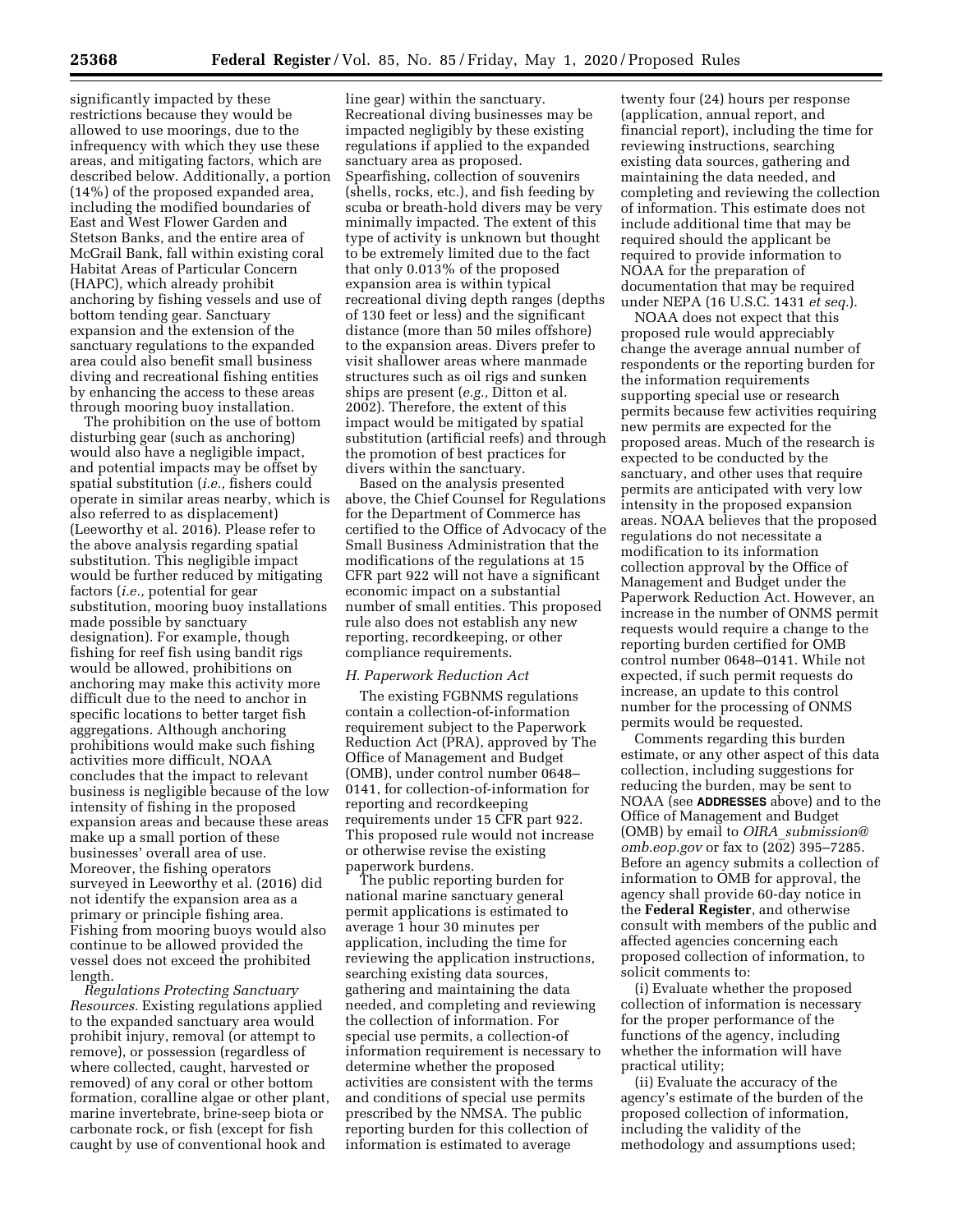significantly impacted by these restrictions because they would be allowed to use moorings, due to the infrequency with which they use these areas, and mitigating factors, which are described below. Additionally, a portion (14%) of the proposed expanded area, including the modified boundaries of East and West Flower Garden and Stetson Banks, and the entire area of McGrail Bank, fall within existing coral Habitat Areas of Particular Concern (HAPC), which already prohibit anchoring by fishing vessels and use of bottom tending gear. Sanctuary expansion and the extension of the sanctuary regulations to the expanded area could also benefit small business diving and recreational fishing entities by enhancing the access to these areas through mooring buoy installation.

The prohibition on the use of bottom disturbing gear (such as anchoring) would also have a negligible impact, and potential impacts may be offset by spatial substitution (*i.e.,* fishers could operate in similar areas nearby, which is also referred to as displacement) (Leeworthy et al. 2016). Please refer to the above analysis regarding spatial substitution. This negligible impact would be further reduced by mitigating factors (*i.e.,* potential for gear substitution, mooring buoy installations made possible by sanctuary designation). For example, though fishing for reef fish using bandit rigs would be allowed, prohibitions on anchoring may make this activity more difficult due to the need to anchor in specific locations to better target fish aggregations. Although anchoring prohibitions would make such fishing activities more difficult, NOAA concludes that the impact to relevant business is negligible because of the low intensity of fishing in the proposed expansion areas and because these areas make up a small portion of these businesses' overall area of use. Moreover, the fishing operators surveyed in Leeworthy et al. (2016) did not identify the expansion area as a primary or principle fishing area. Fishing from mooring buoys would also continue to be allowed provided the vessel does not exceed the prohibited length.

*Regulations Protecting Sanctuary Resources.* Existing regulations applied to the expanded sanctuary area would prohibit injury, removal (or attempt to remove), or possession (regardless of where collected, caught, harvested or removed) of any coral or other bottom formation, coralline algae or other plant, marine invertebrate, brine-seep biota or carbonate rock, or fish (except for fish caught by use of conventional hook and

line gear) within the sanctuary. Recreational diving businesses may be impacted negligibly by these existing regulations if applied to the expanded sanctuary area as proposed. Spearfishing, collection of souvenirs (shells, rocks, etc.), and fish feeding by scuba or breath-hold divers may be very minimally impacted. The extent of this type of activity is unknown but thought to be extremely limited due to the fact that only 0.013% of the proposed expansion area is within typical recreational diving depth ranges (depths of 130 feet or less) and the significant distance (more than 50 miles offshore) to the expansion areas. Divers prefer to visit shallower areas where manmade structures such as oil rigs and sunken ships are present (*e.g.,* Ditton et al. 2002). Therefore, the extent of this impact would be mitigated by spatial substitution (artificial reefs) and through the promotion of best practices for divers within the sanctuary.

Based on the analysis presented above, the Chief Counsel for Regulations for the Department of Commerce has certified to the Office of Advocacy of the Small Business Administration that the modifications of the regulations at 15 CFR part 922 will not have a significant economic impact on a substantial number of small entities. This proposed rule also does not establish any new reporting, recordkeeping, or other compliance requirements.

#### *H. Paperwork Reduction Act*

The existing FGBNMS regulations contain a collection-of-information requirement subject to the Paperwork Reduction Act (PRA), approved by The Office of Management and Budget (OMB), under control number 0648– 0141, for collection-of-information for reporting and recordkeeping requirements under 15 CFR part 922. This proposed rule would not increase or otherwise revise the existing paperwork burdens.

The public reporting burden for national marine sanctuary general permit applications is estimated to average 1 hour 30 minutes per application, including the time for reviewing the application instructions, searching existing data sources, gathering and maintaining the data needed, and completing and reviewing the collection of information. For special use permits, a collection-of information requirement is necessary to determine whether the proposed activities are consistent with the terms and conditions of special use permits prescribed by the NMSA. The public reporting burden for this collection of information is estimated to average

twenty four (24) hours per response (application, annual report, and financial report), including the time for reviewing instructions, searching existing data sources, gathering and maintaining the data needed, and completing and reviewing the collection of information. This estimate does not include additional time that may be required should the applicant be required to provide information to NOAA for the preparation of documentation that may be required under NEPA (16 U.S.C. 1431 *et seq.*).

NOAA does not expect that this proposed rule would appreciably change the average annual number of respondents or the reporting burden for the information requirements supporting special use or research permits because few activities requiring new permits are expected for the proposed areas. Much of the research is expected to be conducted by the sanctuary, and other uses that require permits are anticipated with very low intensity in the proposed expansion areas. NOAA believes that the proposed regulations do not necessitate a modification to its information collection approval by the Office of Management and Budget under the Paperwork Reduction Act. However, an increase in the number of ONMS permit requests would require a change to the reporting burden certified for OMB control number 0648–0141. While not expected, if such permit requests do increase, an update to this control number for the processing of ONMS permits would be requested.

Comments regarding this burden estimate, or any other aspect of this data collection, including suggestions for reducing the burden, may be sent to NOAA (see **ADDRESSES** above) and to the Office of Management and Budget (OMB) by email to *OIRA*\_*submission@ omb.eop.gov* or fax to (202) 395–7285. Before an agency submits a collection of information to OMB for approval, the agency shall provide 60-day notice in the **Federal Register**, and otherwise consult with members of the public and affected agencies concerning each proposed collection of information, to solicit comments to:

(i) Evaluate whether the proposed collection of information is necessary for the proper performance of the functions of the agency, including whether the information will have practical utility;

(ii) Evaluate the accuracy of the agency's estimate of the burden of the proposed collection of information, including the validity of the methodology and assumptions used;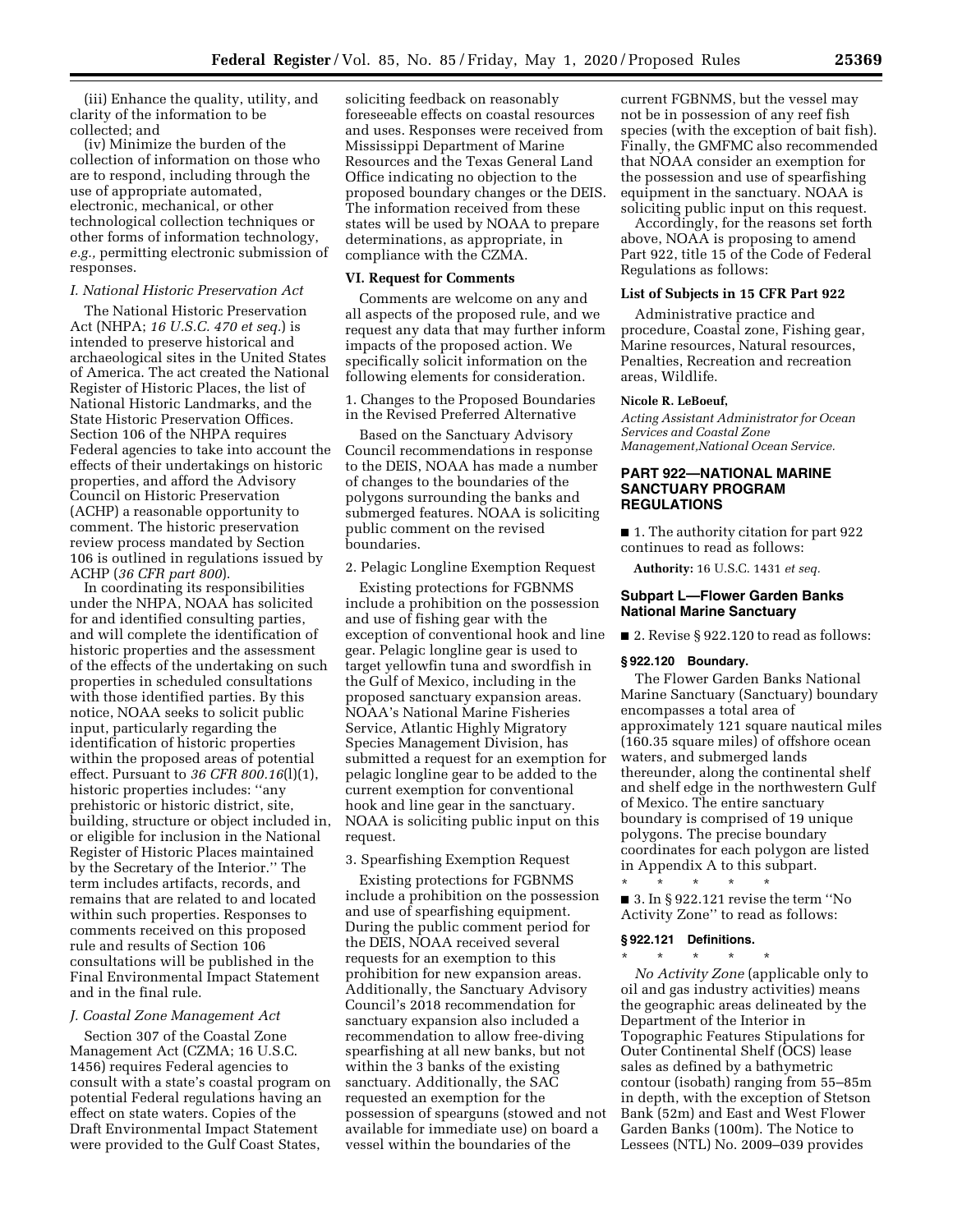(iii) Enhance the quality, utility, and clarity of the information to be collected; and

(iv) Minimize the burden of the collection of information on those who are to respond, including through the use of appropriate automated, electronic, mechanical, or other technological collection techniques or other forms of information technology, *e.g.,* permitting electronic submission of responses.

#### *I. National Historic Preservation Act*

The National Historic Preservation Act (NHPA; *16 U.S.C. 470 et seq.*) is intended to preserve historical and archaeological sites in the United States of America. The act created the National Register of Historic Places, the list of National Historic Landmarks, and the State Historic Preservation Offices. Section 106 of the NHPA requires Federal agencies to take into account the effects of their undertakings on historic properties, and afford the Advisory Council on Historic Preservation (ACHP) a reasonable opportunity to comment. The historic preservation review process mandated by Section 106 is outlined in regulations issued by ACHP (*36 CFR part 800*).

In coordinating its responsibilities under the NHPA, NOAA has solicited for and identified consulting parties, and will complete the identification of historic properties and the assessment of the effects of the undertaking on such properties in scheduled consultations with those identified parties. By this notice, NOAA seeks to solicit public input, particularly regarding the identification of historic properties within the proposed areas of potential effect. Pursuant to *36 CFR 800.16*(l)(1), historic properties includes: ''any prehistoric or historic district, site, building, structure or object included in, or eligible for inclusion in the National Register of Historic Places maintained by the Secretary of the Interior.'' The term includes artifacts, records, and remains that are related to and located within such properties. Responses to comments received on this proposed rule and results of Section 106 consultations will be published in the Final Environmental Impact Statement and in the final rule.

### *J. Coastal Zone Management Act*

Section 307 of the Coastal Zone Management Act (CZMA; 16 U.S.C. 1456) requires Federal agencies to consult with a state's coastal program on potential Federal regulations having an effect on state waters. Copies of the Draft Environmental Impact Statement were provided to the Gulf Coast States,

soliciting feedback on reasonably foreseeable effects on coastal resources and uses. Responses were received from Mississippi Department of Marine Resources and the Texas General Land Office indicating no objection to the proposed boundary changes or the DEIS. The information received from these states will be used by NOAA to prepare determinations, as appropriate, in compliance with the CZMA.

#### **VI. Request for Comments**

Comments are welcome on any and all aspects of the proposed rule, and we request any data that may further inform impacts of the proposed action. We specifically solicit information on the following elements for consideration.

1. Changes to the Proposed Boundaries in the Revised Preferred Alternative

Based on the Sanctuary Advisory Council recommendations in response to the DEIS, NOAA has made a number of changes to the boundaries of the polygons surrounding the banks and submerged features. NOAA is soliciting public comment on the revised boundaries.

### 2. Pelagic Longline Exemption Request

Existing protections for FGBNMS include a prohibition on the possession and use of fishing gear with the exception of conventional hook and line gear. Pelagic longline gear is used to target yellowfin tuna and swordfish in the Gulf of Mexico, including in the proposed sanctuary expansion areas. NOAA's National Marine Fisheries Service, Atlantic Highly Migratory Species Management Division, has submitted a request for an exemption for pelagic longline gear to be added to the current exemption for conventional hook and line gear in the sanctuary. NOAA is soliciting public input on this request.

#### 3. Spearfishing Exemption Request

Existing protections for FGBNMS include a prohibition on the possession and use of spearfishing equipment. During the public comment period for the DEIS, NOAA received several requests for an exemption to this prohibition for new expansion areas. Additionally, the Sanctuary Advisory Council's 2018 recommendation for sanctuary expansion also included a recommendation to allow free-diving spearfishing at all new banks, but not within the 3 banks of the existing sanctuary. Additionally, the SAC requested an exemption for the possession of spearguns (stowed and not available for immediate use) on board a vessel within the boundaries of the

current FGBNMS, but the vessel may not be in possession of any reef fish species (with the exception of bait fish). Finally, the GMFMC also recommended that NOAA consider an exemption for the possession and use of spearfishing equipment in the sanctuary. NOAA is soliciting public input on this request.

Accordingly, for the reasons set forth above, NOAA is proposing to amend Part 922, title 15 of the Code of Federal Regulations as follows:

#### **List of Subjects in 15 CFR Part 922**

Administrative practice and procedure, Coastal zone, Fishing gear, Marine resources, Natural resources, Penalties, Recreation and recreation areas, Wildlife.

#### **Nicole R. LeBoeuf,**

*Acting Assistant Administrator for Ocean Services and Coastal Zone Management,National Ocean Service.* 

# **PART 922—NATIONAL MARINE SANCTUARY PROGRAM REGULATIONS**

■ 1. The authority citation for part 922 continues to read as follows:

**Authority:** 16 U.S.C. 1431 *et seq.* 

#### **Subpart L—Flower Garden Banks National Marine Sanctuary**

■ 2. Revise § 922.120 to read as follows:

#### **§ 922.120 Boundary.**

The Flower Garden Banks National Marine Sanctuary (Sanctuary) boundary encompasses a total area of approximately 121 square nautical miles (160.35 square miles) of offshore ocean waters, and submerged lands thereunder, along the continental shelf and shelf edge in the northwestern Gulf of Mexico. The entire sanctuary boundary is comprised of 19 unique polygons. The precise boundary coordinates for each polygon are listed in Appendix A to this subpart.

\* \* \* \* \*  $\blacksquare$  3. In § 922.121 revise the term "No Activity Zone'' to read as follows:

### **§ 922.121 Definitions.**

\* \* \* \* \* *No Activity Zone* (applicable only to oil and gas industry activities) means the geographic areas delineated by the Department of the Interior in Topographic Features Stipulations for Outer Continental Shelf (OCS) lease sales as defined by a bathymetric contour (isobath) ranging from 55–85m in depth, with the exception of Stetson Bank (52m) and East and West Flower Garden Banks (100m). The Notice to Lessees (NTL) No. 2009–039 provides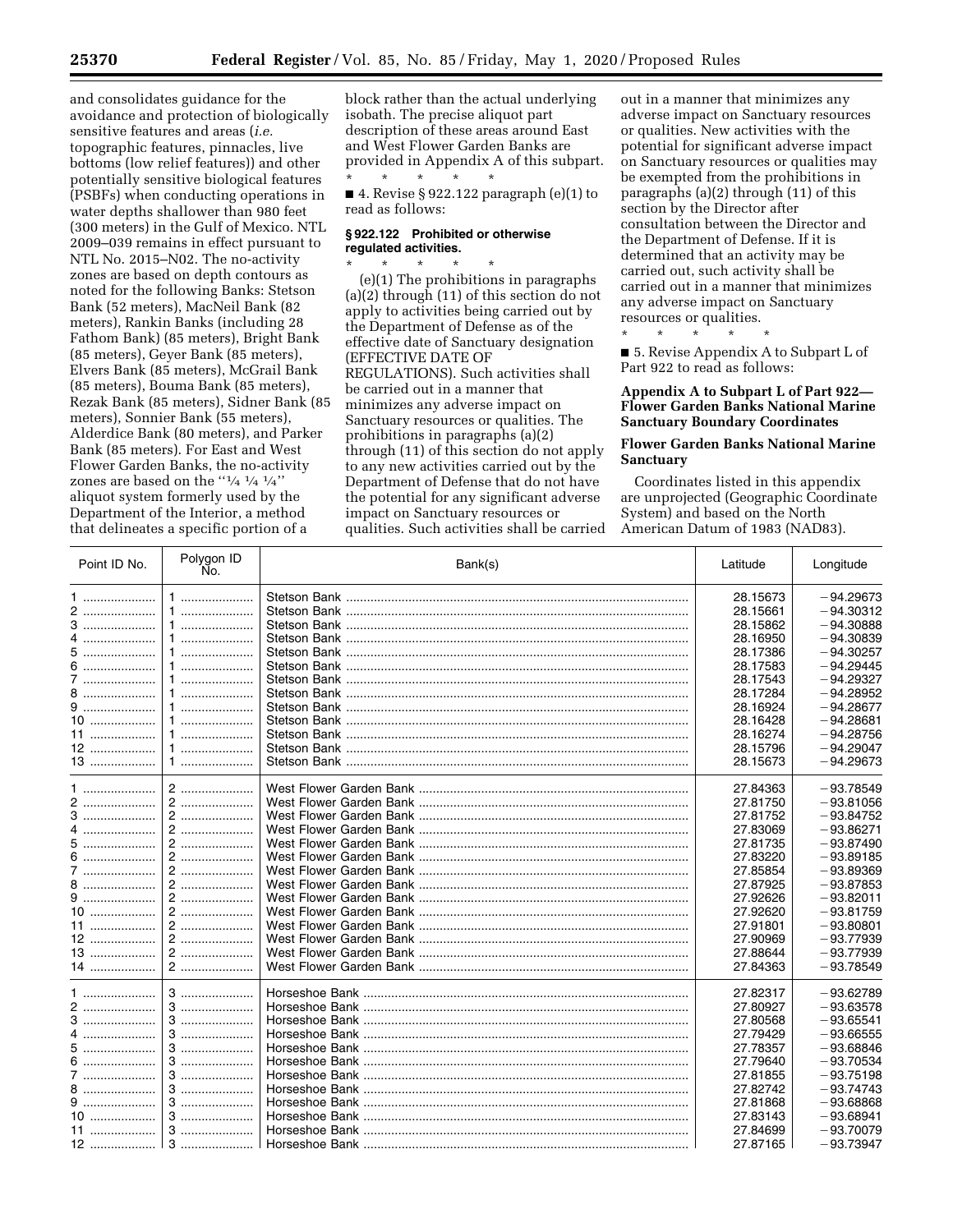and consolidates guidance for the avoidance and protection of biologically sensitive features and areas (*i.e.*  topographic features, pinnacles, live bottoms (low relief features)) and other potentially sensitive biological features (PSBFs) when conducting operations in water depths shallower than 980 feet (300 meters) in the Gulf of Mexico. NTL 2009–039 remains in effect pursuant to NTL No. 2015–N02. The no-activity zones are based on depth contours as noted for the following Banks: Stetson Bank (52 meters), MacNeil Bank (82 meters), Rankin Banks (including 28 Fathom Bank) (85 meters), Bright Bank (85 meters), Geyer Bank (85 meters), Elvers Bank (85 meters), McGrail Bank (85 meters), Bouma Bank (85 meters), Rezak Bank (85 meters), Sidner Bank (85 meters), Sonnier Bank (55 meters), Alderdice Bank (80 meters), and Parker Bank (85 meters). For East and West Flower Garden Banks, the no-activity zones are based on the ''1⁄4 <sup>1</sup>/4 <sup>1</sup>/<sub>4</sub>'' aliquot system formerly used by the Department of the Interior, a method that delineates a specific portion of a

block rather than the actual underlying isobath. The precise aliquot part description of these areas around East and West Flower Garden Banks are provided in Appendix A of this subpart. \* \* \* \* \*

■ 4. Revise § 922.122 paragraph (e)(1) to read as follows:

### **§ 922.122 Prohibited or otherwise regulated activities.**

\* \* \* \* \* (e)(1) The prohibitions in paragraphs (a)(2) through (11) of this section do not apply to activities being carried out by the Department of Defense as of the effective date of Sanctuary designation (EFFECTIVE DATE OF REGULATIONS). Such activities shall be carried out in a manner that minimizes any adverse impact on Sanctuary resources or qualities. The prohibitions in paragraphs (a)(2) through (11) of this section do not apply to any new activities carried out by the Department of Defense that do not have the potential for any significant adverse impact on Sanctuary resources or qualities. Such activities shall be carried

out in a manner that minimizes any adverse impact on Sanctuary resources or qualities. New activities with the potential for significant adverse impact on Sanctuary resources or qualities may be exempted from the prohibitions in paragraphs (a)(2) through (11) of this section by the Director after consultation between the Director and the Department of Defense. If it is determined that an activity may be carried out, such activity shall be carried out in a manner that minimizes any adverse impact on Sanctuary resources or qualities.

■ 5. Revise Appendix A to Subpart L of Part 922 to read as follows:

\* \* \* \* \*

### **Appendix A to Subpart L of Part 922— Flower Garden Banks National Marine Sanctuary Boundary Coordinates**

# **Flower Garden Banks National Marine Sanctuary**

Coordinates listed in this appendix are unprojected (Geographic Coordinate System) and based on the North American Datum of 1983 (NAD83).

| Point ID No. | Polygon ID<br>Ño. | Bank(s) | Latitude | Longitude                  |
|--------------|-------------------|---------|----------|----------------------------|
| 1            | 1                 |         | 28.15673 | $-94.29673$                |
|              |                   |         | 28.15661 | $-94.30312$                |
|              | 1                 |         | 28.15862 | $-94.30888$                |
| 4            | 1                 |         | 28.16950 | $-94.30839$                |
|              | 1                 |         | 28.17386 | $-94.30257$                |
|              |                   |         | 28.17583 | $-94.29445$                |
| 7            |                   |         | 28.17543 | $-94.29327$                |
| 8            | 1                 |         | 28.17284 | $-94.28952$                |
| $9$          | 1                 |         | 28.16924 | $-94.28677$                |
| 10           |                   |         | 28.16428 | $-94.28681$                |
| 11           | 1                 |         | 28.16274 | $-94.28756$                |
| 12           |                   |         | 28.15796 | $-94.29047$                |
| 13           | $1$               |         | 28.15673 | $-94.29673$                |
|              | $2$               |         | 27.84363 | $-93.78549$                |
| $2$          | 2                 |         | 27.81750 | $-93.81056$                |
|              | 2                 |         | 27.81752 | $-93.84752$                |
| 4            | 2                 |         | 27.83069 | $-93.86271$                |
|              | 2                 |         | 27.81735 | $-93.87490$                |
| 6            | 2                 |         | 27.83220 | $-93.89185$                |
| 7            |                   |         | 27.85854 | $-93.89369$                |
|              | 2                 |         | 27.87925 | $-93.87853$                |
| 9            | 2                 |         | 27.92626 | $-93.82011$                |
| $10$         | 2                 |         | 27.92620 | $-93.81759$                |
| 11           |                   |         | 27.91801 | $-93.80801$                |
| 12           | 2                 |         | 27.90969 | $-93.77939$                |
| 13           | $2$               |         | 27.88644 | $-93.77939$                |
| 14           | 2                 |         | 27.84363 | $-93.78549$                |
| 1            | $3$               |         | 27.82317 | $-93.62789$                |
| 2            | $3$               |         | 27.80927 | $-93.63578$                |
| 3            | 3                 |         | 27.80568 | $-93.65541$                |
|              | 3                 |         | 27.79429 | $-93.66555$                |
|              |                   |         | 27.78357 | $-93.68846$                |
| 5            | 3                 |         |          |                            |
|              | 3                 |         | 27.79640 | $-93.70534$<br>$-93.75198$ |
| 7            | 3                 |         | 27.81855 |                            |
| $9$          | 3                 |         | 27.82742 | $-93.74743$                |
|              | $3$               |         | 27.81868 | $-93.68868$                |
| 10           |                   |         | 27.83143 | $-93.68941$                |
|              | 3                 |         | 27.84699 | $-93.70079$                |
| $12$         | $3$               |         | 27.87165 | $-93.73947$                |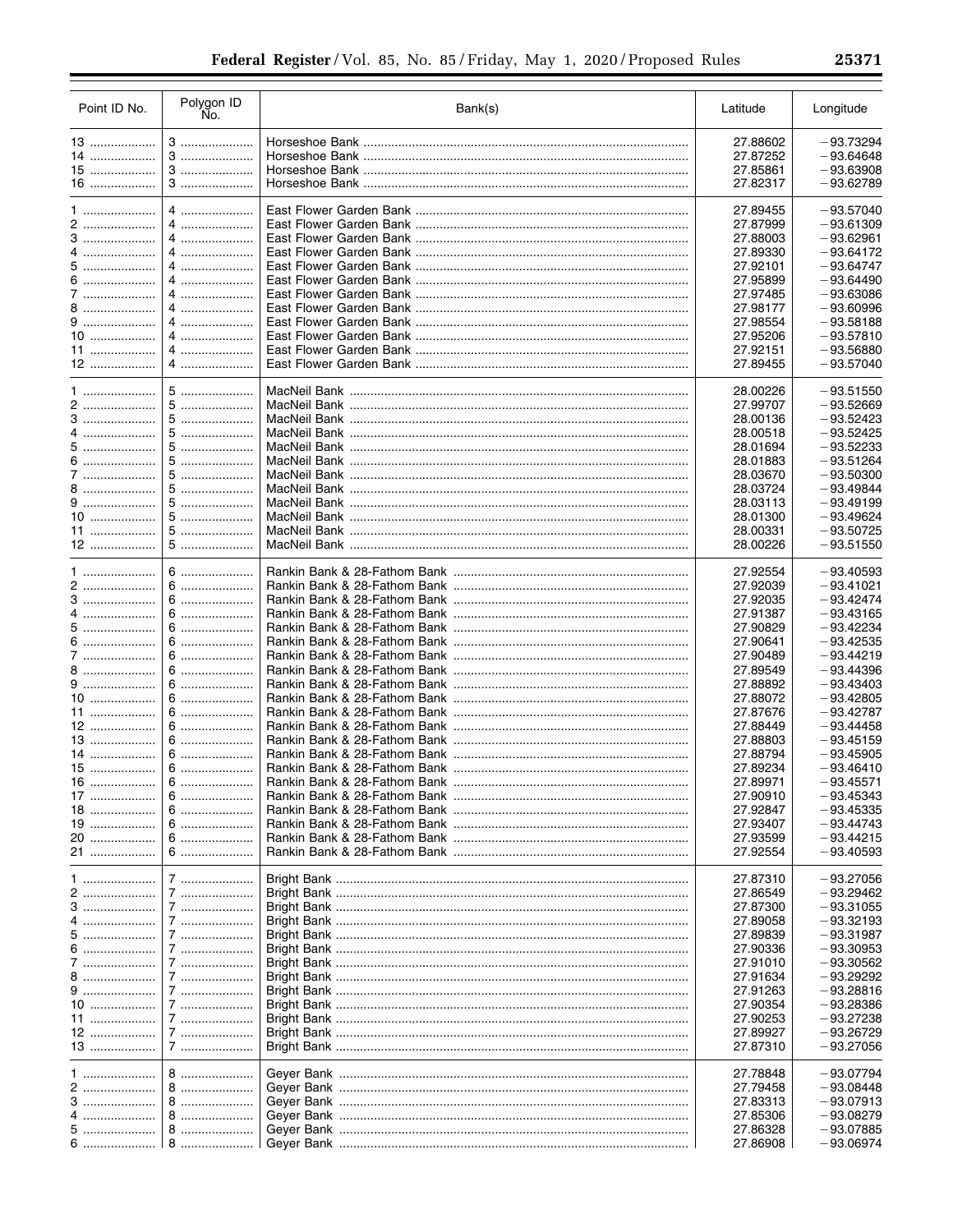| Point ID No. | Polygon ID<br>No. | Bank(s) | Latitude             | Longitude   |
|--------------|-------------------|---------|----------------------|-------------|
| 13           | $3$               |         | 27.88602             | $-93.73294$ |
| 14           | 3                 |         | 27.87252             | $-93.64648$ |
| 15           | 3                 |         | 27.85861             | $-93.63908$ |
| $16$         | 3                 |         | 27.82317             | $-93.62789$ |
|              |                   |         |                      |             |
|              | 4                 |         | 27.89455             | $-93.57040$ |
| 2            | 4                 |         | 27.87999             | $-93.61309$ |
| 3            | 4                 |         | 27.88003             | $-93.62961$ |
|              | 4                 |         | 27.89330             | $-93.64172$ |
|              | 4                 |         | 27.92101             | $-93.64747$ |
| 6            | 4                 |         | 27.95899             | $-93.64490$ |
|              | 4                 |         | 27.97485             | $-93.63086$ |
| 8            | 4                 |         | 27.98177             | $-93.60996$ |
| 9            | 4                 |         | 27.98554             | $-93.58188$ |
| $10$         | 4                 |         | 27.95206             | $-93.57810$ |
|              | 4                 |         | 27.92151             | $-93.56880$ |
| 12           | 4                 |         | 27.89455             | $-93.57040$ |
|              |                   |         |                      |             |
|              | $5$               |         | 28.00226             | $-93.51550$ |
| 2            | 5                 |         | 27.99707             | $-93.52669$ |
| 3            | 5                 |         | 28.00136             | $-93.52423$ |
|              | 5                 |         | 28.00518             | $-93.52425$ |
| 5            | 5                 |         | 28.01694             | $-93.52233$ |
| 6            | 5                 |         | 28.01883             | $-93.51264$ |
| 7            | 5                 |         | 28.03670             | $-93.50300$ |
|              |                   |         | 28.03724             | $-93.49844$ |
|              | 5                 |         | 28.03113             | $-93.49199$ |
| $10$         | 5                 |         | 28.01300             | $-93.49624$ |
|              |                   |         |                      | $-93.50725$ |
| 11<br>$12$   | 5<br>5            |         | 28.00331<br>28.00226 | $-93.51550$ |
|              |                   |         |                      |             |
| $1$          | 6                 |         | 27.92554             | $-93.40593$ |
| 2            | 6                 |         | 27.92039             | $-93.41021$ |
| 3            | 6                 |         | 27.92035             | $-93.42474$ |
| 4            | 6                 |         | 27.91387             | $-93.43165$ |
| 5            | 6                 |         |                      |             |
|              |                   |         | 27.90829             | $-93.42234$ |
| 6            | 6                 |         | 27.90641             | $-93.42535$ |
| 7            | 6                 |         | 27.90489             | $-93.44219$ |
| 8            | 6                 |         | 27.89549             | $-93.44396$ |
|              | 6                 |         | 27.88892             | $-93.43403$ |
| 10           | 6                 |         | 27.88072             | $-93.42805$ |
| 11           | 6                 |         | 27.87676             | $-93.42787$ |
| 12           | $6$               |         | 27.88449             | $-93.44458$ |
| 13           | 6                 |         | 27.88803             | $-93.45159$ |
| 14           | $6$               |         | 27.88794             | $-93.45905$ |
| 15           | 6                 |         | 27.89234             | $-93.46410$ |
| 16           | $6$               |         | 27.89971             | $-93.45571$ |
| 17           | 6                 |         | 27.90910             | $-93.45343$ |
| $18$         | 6                 |         | 27.92847             | $-93.45335$ |
| 19           | 6                 |         | 27.93407             | $-93.44743$ |
| 20           | 6                 |         | 27.93599             | $-93.44215$ |
| 21           | 6                 |         | 27.92554             | $-93.40593$ |
|              |                   |         |                      |             |
| 1            | 7                 |         | 27.87310             | $-93.27056$ |
| 2            | 7                 |         | 27.86549             | $-93.29462$ |
| 3            | 7                 |         | 27.87300             | $-93.31055$ |
|              | 7                 |         | 27.89058             | $-93.32193$ |
| 5            | 7                 |         | 27.89839             | $-93.31987$ |
| 6            | 7                 |         | 27.90336             | $-93.30953$ |
| 7            | 7                 |         | 27.91010             | $-93.30562$ |
| 8            | 7                 |         | 27.91634             | $-93.29292$ |
| 9            | 7                 |         | 27.91263             | $-93.28816$ |
| 10           | 7                 |         | 27.90354             | $-93.28386$ |
| 11           | 7                 |         | 27.90253             | $-93.27238$ |
| 12           | 7                 |         | 27.89927             | $-93.26729$ |
| 13           | 7                 |         | 27.87310             | $-93.27056$ |
|              |                   |         |                      |             |
| 1            | 8                 |         | 27.78848             | $-93.07794$ |
| 2            | 8                 |         | 27.79458             | $-93.08448$ |
| 3            | 8                 |         | 27.83313             | $-93.07913$ |
| 4            | 8                 |         | 27.85306             | $-93.08279$ |
| 5            | 8                 |         | 27.86328             | $-93.07885$ |
|              |                   |         | 27.86908             | $-93.06974$ |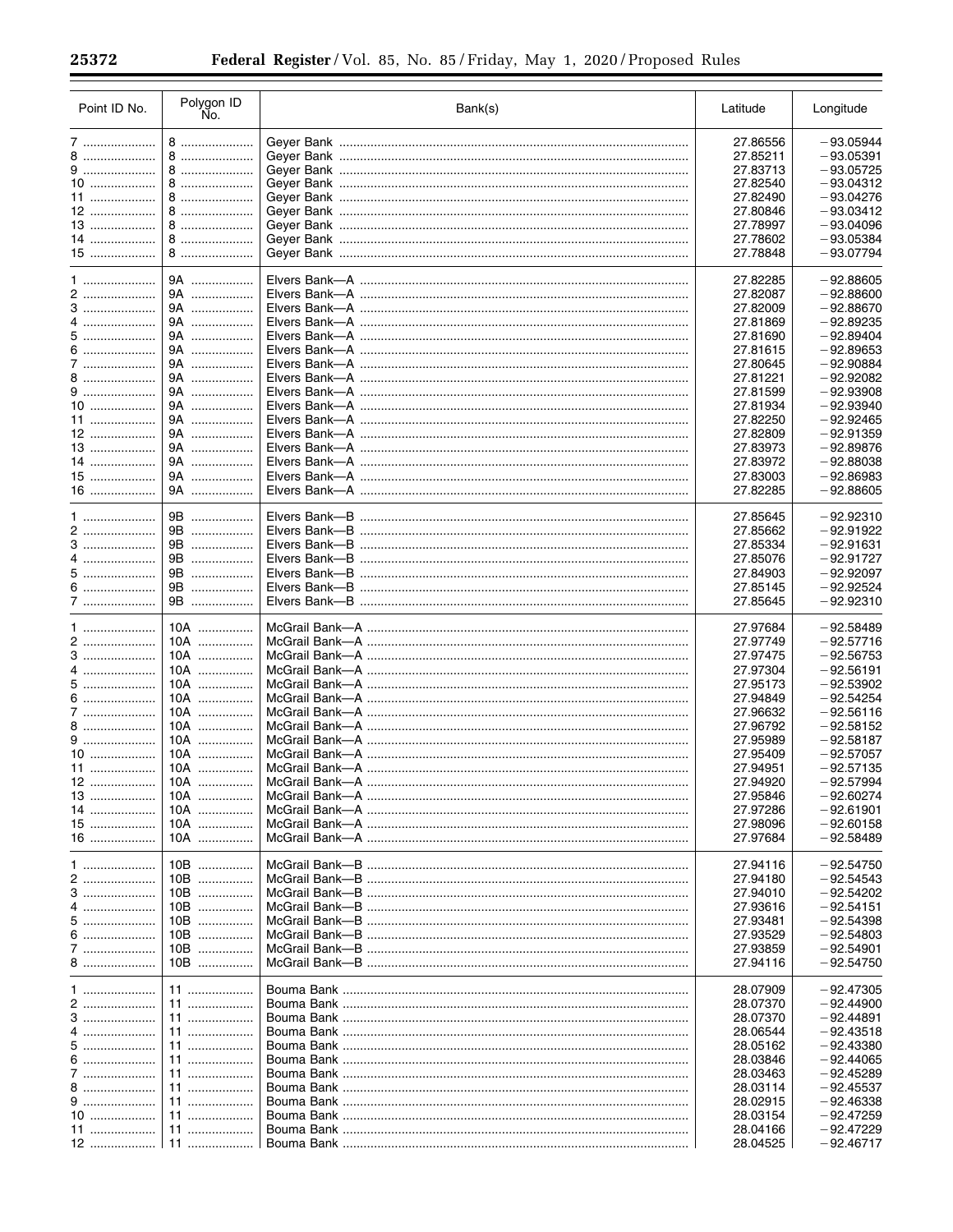$\equiv$ 

| Point ID No. | Polygon ID<br>No. | Bank(s) | Latitude | Longitude   |
|--------------|-------------------|---------|----------|-------------|
| 7            | 8                 |         | 27.86556 | $-93.05944$ |
| 8            | 8                 |         | 27.85211 | $-93.05391$ |
|              |                   |         |          |             |
| 9            | 8                 |         | 27.83713 | $-93.05725$ |
| 10           | 8                 |         | 27.82540 | $-93.04312$ |
| 11           | 8                 |         | 27.82490 | $-93.04276$ |
| 12           | 8                 |         | 27.80846 | $-93.03412$ |
| 13           | 8                 |         | 27.78997 | $-93.04096$ |
| 14           | 8                 |         | 27.78602 | $-93.05384$ |
| 15           | 8                 |         | 27.78848 | $-93.07794$ |
|              |                   |         |          |             |
|              | 9A                |         | 27.82285 | $-92.88605$ |
| 2            | 9A                |         | 27.82087 | $-92.88600$ |
|              | 9A                |         | 27.82009 | $-92.88670$ |
|              | 9A                |         | 27.81869 | $-92.89235$ |
|              | 9A                |         | 27.81690 | $-92.89404$ |
| 6            | 9A                |         | 27.81615 | $-92.89653$ |
|              | 9A                |         | 27.80645 | $-92.90884$ |
|              | 9A                |         | 27.81221 | $-92.92082$ |
| 9            | 9A                |         | 27.81599 | $-92.93908$ |
| 10           | 9A                |         |          | $-92.93940$ |
|              |                   |         | 27.81934 |             |
|              | 9A                |         | 27.82250 | $-92.92465$ |
| 12           | 9A                |         | 27.82809 | $-92.91359$ |
| 13           | 9A                |         | 27.83973 | $-92.89876$ |
| 14           | 9A                |         | 27.83972 | $-92.88038$ |
| 15           | 9A                |         | 27.83003 | $-92.86983$ |
| $16$         | 9A                |         | 27.82285 | $-92.88605$ |
|              |                   |         |          |             |
| $1$          | 9B                |         | 27.85645 | $-92.92310$ |
|              | 9B                |         | 27.85662 | $-92.91922$ |
| 3            | 9B                |         | 27.85334 | $-92.91631$ |
| 4            | 9B                |         | 27.85076 | $-92.91727$ |
| 5            | 9B                |         | 27.84903 | $-92.92097$ |
| 6            | 9Β<br>.           |         | 27.85145 | $-92.92524$ |
| 7            | 9B                |         | 27.85645 | $-92.92310$ |
|              |                   |         |          |             |
| 1            | 10A               |         | 27.97684 | $-92.58489$ |
|              | $10A$             |         | 27.97749 | $-92.57716$ |
| 3            | 10A               |         | 27.97475 | $-92.56753$ |
| 4            | $10A$             |         | 27.97304 | $-92.56191$ |
| 5            | 10A               |         | 27.95173 | $-92.53902$ |
| 6            | $10A$             |         | 27.94849 | $-92.54254$ |
| 7            | 10A               |         | 27.96632 | $-92.56116$ |
| 8            | $10A$             |         | 27.96792 | $-92.58152$ |
| 9            | 10A               |         | 27.95989 | $-92.58187$ |
| 10           | 10A               |         | 27.95409 | $-92.57057$ |
| 11           | 10A               |         | 27.94951 | $-92.57135$ |
| 12           | 10A               |         | 27.94920 | $-92.57994$ |
| 13           |                   |         |          |             |
| 14           | 10A               |         | 27.95846 | $-92.60274$ |
|              | 10A               |         | 27.97286 | $-92.61901$ |
| 15           | $10A$             |         | 27.98096 | $-92.60158$ |
| $16$         | $10A$             |         | 27.97684 | $-92.58489$ |
|              |                   |         |          |             |
| 1            | 10B               |         | 27.94116 | $-92.54750$ |
| 2            | 10B               |         | 27.94180 | $-92.54543$ |
| 3            | 10B               |         | 27.94010 | $-92.54202$ |
| 4            | 10B               |         | 27.93616 | $-92.54151$ |
| 5            | 10B               |         | 27.93481 | $-92.54398$ |
| 6            | 10B               |         | 27.93529 | $-92.54803$ |
| 7            | 10B               |         | 27.93859 | $-92.54901$ |
| 8            | 10B               |         | 27.94116 | $-92.54750$ |
|              |                   |         |          |             |
| 1            | 11                |         | 28.07909 | $-92.47305$ |
| 2            | 11                |         | 28.07370 | $-92.44900$ |
| 3            | 11                |         | 28.07370 | $-92.44891$ |
| 4            | 11                |         | 28.06544 | $-92.43518$ |
| 5            | 11                |         | 28.05162 | $-92.43380$ |
| 6            | 11                |         | 28.03846 | $-92.44065$ |
|              | 11                |         | 28.03463 | $-92.45289$ |
| 8            | 11                |         | 28.03114 | $-92.45537$ |
| $9$          | 11                |         | 28.02915 | $-92.46338$ |
| 10           | 11                |         | 28.03154 | $-92.47259$ |
|              | 11                |         | 28.04166 | $-92.47229$ |
| 12           | 11                |         | 28.04525 | $-92.46717$ |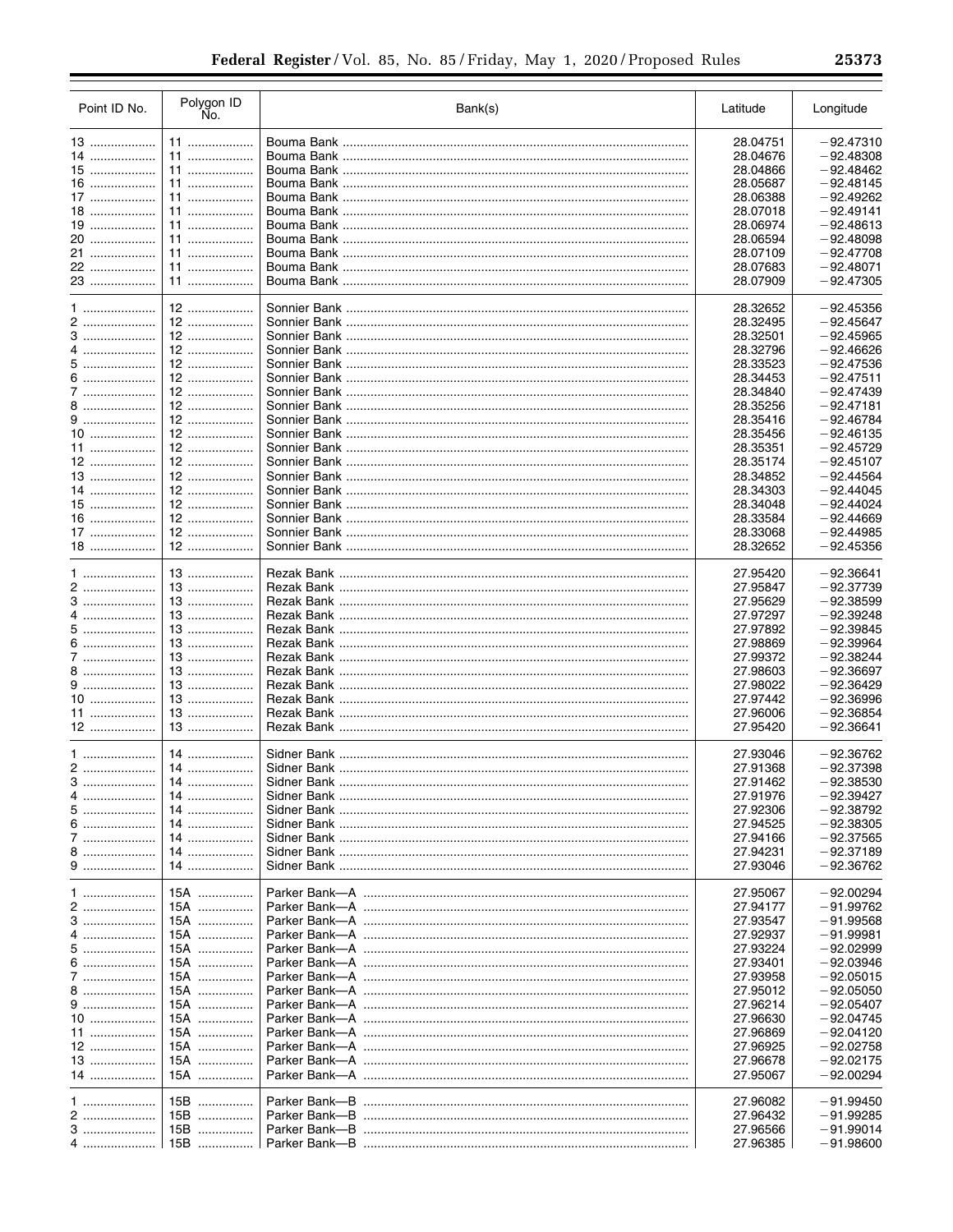| Point ID No. | Polygon ID<br>No.      | Bank(s)                                       | Latitude             | Longitude   |
|--------------|------------------------|-----------------------------------------------|----------------------|-------------|
| 13           | 11                     |                                               | 28.04751             | $-92.47310$ |
| 14           | 11                     |                                               | 28.04676             | $-92.48308$ |
| 15           | 11                     |                                               | 28.04866             | $-92.48462$ |
| $16$         | 11                     |                                               | 28.05687             | $-92.48145$ |
| 17           | 11                     |                                               | 28.06388             | $-92.49262$ |
| $18$         | 11                     |                                               | 28.07018             | $-92.49141$ |
| 19           | 11                     |                                               | 28.06974             | $-92.48613$ |
| 20           | 11                     |                                               | 28.06594             | $-92.48098$ |
| 21           | 11                     |                                               | 28.07109             | $-92.47708$ |
| 22           | 11                     |                                               | 28.07683             | $-92.48071$ |
| 23           | 11                     |                                               | 28.07909             | $-92.47305$ |
|              |                        |                                               |                      |             |
|              | $12$                   |                                               | 28.32652             | $-92.45356$ |
| 2            | $12$                   |                                               | 28.32495             | $-92.45647$ |
|              | $12$                   |                                               | 28.32501             | $-92.45965$ |
|              | $12 \overline{ }$<br>. |                                               | 28.32796             | $-92.46626$ |
| 5            | 12                     |                                               | 28.33523             | $-92.47536$ |
| 6            | $12$                   |                                               | 28.34453             | $-92.47511$ |
|              | 12                     |                                               | 28.34840             | $-92.47439$ |
|              |                        |                                               | 28.35256             | $-92.47181$ |
| 9            |                        |                                               | 28.35416             | $-92.46784$ |
| $10$         | 12                     |                                               | 28.35456             | $-92.46135$ |
|              | $12$                   |                                               | 28.35351             | $-92.45729$ |
| 12           | 12                     |                                               | 28.35174             | $-92.45107$ |
| 13           | 12                     |                                               | 28.34852             | $-92.44564$ |
| $14$         |                        |                                               | 28.34303             | $-92.44045$ |
| 15           | 12                     |                                               | 28.34048             | $-92.44024$ |
| 16           | $12$                   |                                               | 28.33584             | $-92.44669$ |
| $17$         | $12$                   |                                               | 28.33068             | $-92.44985$ |
| $18$         | 12                     |                                               | 28.32652             | $-92.45356$ |
|              |                        |                                               |                      |             |
| $1$          | 13                     |                                               | 27.95420             | $-92.36641$ |
| 2            | 13                     |                                               | 27.95847             | $-92.37739$ |
| 3            | 13                     |                                               | 27.95629             | $-92.38599$ |
| 4            | $13$                   |                                               | 27.97297             | $-92.39248$ |
|              | 13                     |                                               | 27.97892             | $-92.39845$ |
| 6            | $13$                   |                                               | 27.98869             | $-92.39964$ |
| 7            | 13                     |                                               | 27.99372             | $-92.38244$ |
| 8            | 13                     |                                               | 27.98603             | $-92.36697$ |
| 9            | 13                     |                                               | 27.98022             | $-92.36429$ |
| $10$         | $13$                   |                                               | 27.97442             | $-92.36996$ |
| 11           | 13                     |                                               | 27.96006             | $-92.36854$ |
| 12           | 13                     |                                               | 27.95420             | $-92.36641$ |
|              |                        |                                               |                      |             |
|              | 14                     |                                               | 27.93046             | $-92.36762$ |
| 2            | 14                     |                                               | 27.91368             | $-92.37398$ |
| 3            | 14                     |                                               | 27.91462             | $-92.38530$ |
|              | 14                     |                                               | 27.91976             | $-92.39427$ |
| 5            | 14                     |                                               | 27.92306             | $-92.38792$ |
| 6            | 14                     |                                               | 27.94525             | $-92.38305$ |
|              | 14                     |                                               | 27.94166             | $-92.37565$ |
|              | 14                     |                                               | 27.94231             | $-92.37189$ |
| 9            | 14                     |                                               | 27.93046             | $-92.36762$ |
|              |                        |                                               |                      |             |
| 1            | 15A                    | Parker Bank—A ………………………………………………………………………………… | 27.95067             | $-92.00294$ |
| 2            | 15A                    |                                               | 27.94177             | $-91.99762$ |
| 3            | 15A                    |                                               | 27.93547             | $-91.99568$ |
|              | 15A                    |                                               | 27.92937             | $-91.99981$ |
| 5            | 15A                    | Parker Bank—A ………………………………………………………………………………  | 27.93224             | $-92.02999$ |
| 6            | 15A                    | Parker Bank—A ………………………………………………………………………………… | 27.93401             | $-92.03946$ |
|              | 15A                    |                                               | 27.93958             | $-92.05015$ |
| 8            | 15A                    |                                               | 27.95012             | $-92.05050$ |
| 9            | 15A                    |                                               | 27.96214             | $-92.05407$ |
| 10           | 15A                    |                                               | 27.96630             | $-92.04745$ |
| 11           | 15A                    |                                               | 27.96869             | $-92.04120$ |
| 12           | 15A                    |                                               | 27.96925             | $-92.02758$ |
| 13           | 15A                    |                                               | 27.96678             | $-92.02175$ |
| 14           | 15A                    |                                               | 27.95067             | $-92.00294$ |
|              | 15B                    |                                               | 27.96082             | $-91.99450$ |
| 2            | 15B                    | Parker Bank---B                               |                      | $-91.99285$ |
| 3            | 15B                    |                                               | 27.96432<br>27.96566 | $-91.99014$ |
|              | 15B                    |                                               | 27.96385             | $-91.98600$ |
|              |                        |                                               |                      |             |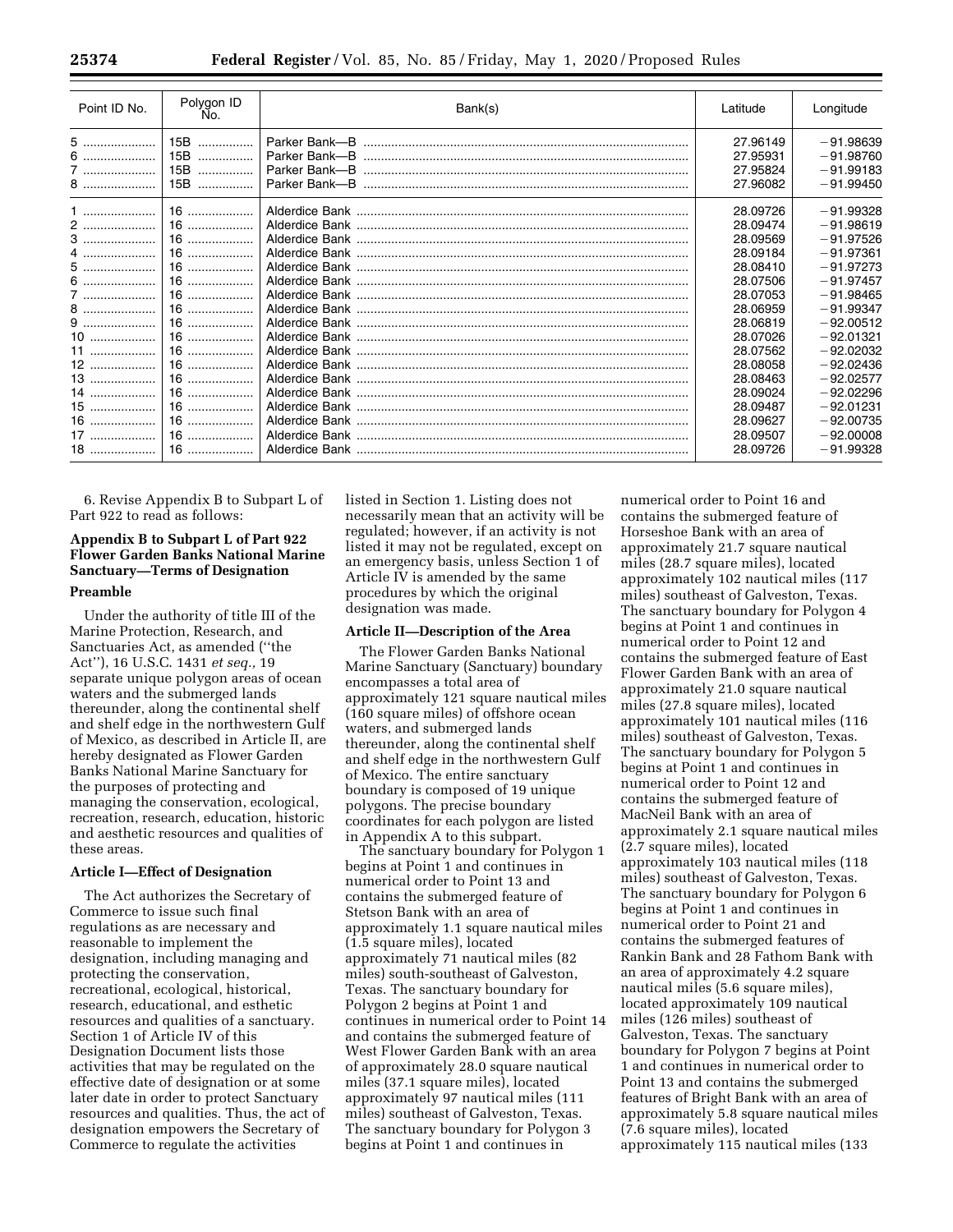| Point ID No. | Polygon ID<br>No. | Bank(s) | Latitude | Longitude   |
|--------------|-------------------|---------|----------|-------------|
| 5            | 15B<br>.          |         | 27.96149 | $-91.98639$ |
| 6            | 15B<br>.          |         | 27.95931 | $-91.98760$ |
| 7            | 15B<br>.          |         | 27.95824 | $-91.99183$ |
| 8            | 15B<br>.          |         | 27.96082 | $-91.99450$ |
| $1$          | $16$              |         | 28.09726 | $-91.99328$ |
| 2            | $16$              |         | 28.09474 | $-91.98619$ |
|              | $16$              |         | 28.09569 | $-91.97526$ |
| $4$          | $16$              |         | 28.09184 | $-91.97361$ |
| 5            | 16                |         | 28.08410 | $-91.97273$ |
| 6            | 16                |         | 28.07506 | $-91.97457$ |
| 7            | $16$              |         | 28.07053 | $-91.98465$ |
| 8            | $16$              |         | 28.06959 | $-91.99347$ |
|              | 16                |         | 28.06819 | $-92.00512$ |
| 10           | $16$              |         | 28.07026 | $-92.01321$ |
| $11$         | 16                |         | 28.07562 | $-92.02032$ |
| $12$         | $16$              |         | 28.08058 | $-92.02436$ |
| $13$         | 16                |         | 28.08463 | $-92.02577$ |
| 14           | 16                |         | 28.09024 | $-92.02296$ |
| $15$         | 16                |         | 28.09487 | $-92.01231$ |
| 16           | $16$              |         | 28.09627 | $-92.00735$ |
| 17           | 16                |         | 28.09507 | $-92,00008$ |
| 18           | 16                |         | 28.09726 | $-91.99328$ |

6. Revise Appendix B to Subpart L of Part 922 to read as follows:

# **Appendix B to Subpart L of Part 922 Flower Garden Banks National Marine Sanctuary—Terms of Designation Preamble**

Under the authority of title III of the Marine Protection, Research, and Sanctuaries Act, as amended (''the Act''), 16 U.S.C. 1431 *et seq.,* 19 separate unique polygon areas of ocean waters and the submerged lands thereunder, along the continental shelf and shelf edge in the northwestern Gulf of Mexico, as described in Article II, are hereby designated as Flower Garden Banks National Marine Sanctuary for the purposes of protecting and managing the conservation, ecological, recreation, research, education, historic and aesthetic resources and qualities of these areas.

### **Article I—Effect of Designation**

The Act authorizes the Secretary of Commerce to issue such final regulations as are necessary and reasonable to implement the designation, including managing and protecting the conservation, recreational, ecological, historical, research, educational, and esthetic resources and qualities of a sanctuary. Section 1 of Article IV of this Designation Document lists those activities that may be regulated on the effective date of designation or at some later date in order to protect Sanctuary resources and qualities. Thus, the act of designation empowers the Secretary of Commerce to regulate the activities

listed in Section 1. Listing does not necessarily mean that an activity will be regulated; however, if an activity is not listed it may not be regulated, except on an emergency basis, unless Section 1 of Article IV is amended by the same procedures by which the original designation was made.

### **Article II—Description of the Area**

The Flower Garden Banks National Marine Sanctuary (Sanctuary) boundary encompasses a total area of approximately 121 square nautical miles (160 square miles) of offshore ocean waters, and submerged lands thereunder, along the continental shelf and shelf edge in the northwestern Gulf of Mexico. The entire sanctuary boundary is composed of 19 unique polygons. The precise boundary coordinates for each polygon are listed in Appendix A to this subpart.

The sanctuary boundary for Polygon 1 begins at Point 1 and continues in numerical order to Point 13 and contains the submerged feature of Stetson Bank with an area of approximately 1.1 square nautical miles (1.5 square miles), located approximately 71 nautical miles (82 miles) south-southeast of Galveston, Texas. The sanctuary boundary for Polygon 2 begins at Point 1 and continues in numerical order to Point 14 and contains the submerged feature of West Flower Garden Bank with an area of approximately 28.0 square nautical miles (37.1 square miles), located approximately 97 nautical miles (111 miles) southeast of Galveston, Texas. The sanctuary boundary for Polygon 3 begins at Point 1 and continues in

numerical order to Point 16 and contains the submerged feature of Horseshoe Bank with an area of approximately 21.7 square nautical miles (28.7 square miles), located approximately 102 nautical miles (117 miles) southeast of Galveston, Texas. The sanctuary boundary for Polygon 4 begins at Point 1 and continues in numerical order to Point 12 and contains the submerged feature of East Flower Garden Bank with an area of approximately 21.0 square nautical miles (27.8 square miles), located approximately 101 nautical miles (116 miles) southeast of Galveston, Texas. The sanctuary boundary for Polygon 5 begins at Point 1 and continues in numerical order to Point 12 and contains the submerged feature of MacNeil Bank with an area of approximately 2.1 square nautical miles (2.7 square miles), located approximately 103 nautical miles (118 miles) southeast of Galveston, Texas. The sanctuary boundary for Polygon 6 begins at Point 1 and continues in numerical order to Point 21 and contains the submerged features of Rankin Bank and 28 Fathom Bank with an area of approximately 4.2 square nautical miles (5.6 square miles), located approximately 109 nautical miles (126 miles) southeast of Galveston, Texas. The sanctuary boundary for Polygon 7 begins at Point 1 and continues in numerical order to Point 13 and contains the submerged features of Bright Bank with an area of approximately 5.8 square nautical miles (7.6 square miles), located approximately 115 nautical miles (133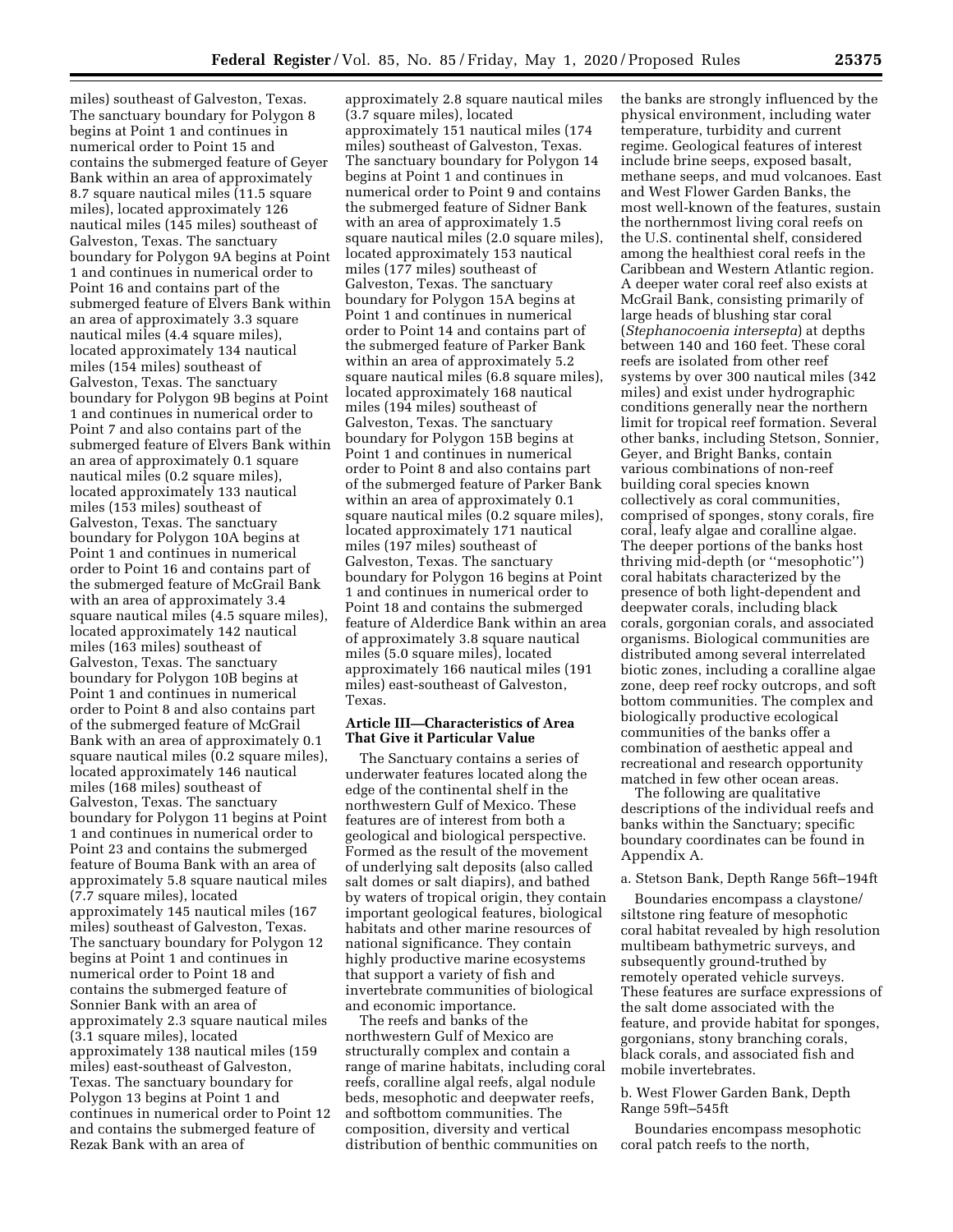miles) southeast of Galveston, Texas. The sanctuary boundary for Polygon 8 begins at Point 1 and continues in numerical order to Point 15 and contains the submerged feature of Geyer Bank within an area of approximately 8.7 square nautical miles (11.5 square miles), located approximately 126 nautical miles (145 miles) southeast of Galveston, Texas. The sanctuary boundary for Polygon 9A begins at Point 1 and continues in numerical order to Point 16 and contains part of the submerged feature of Elvers Bank within an area of approximately 3.3 square nautical miles (4.4 square miles), located approximately 134 nautical miles (154 miles) southeast of Galveston, Texas. The sanctuary boundary for Polygon 9B begins at Point 1 and continues in numerical order to Point 7 and also contains part of the submerged feature of Elvers Bank within an area of approximately 0.1 square nautical miles (0.2 square miles), located approximately 133 nautical miles (153 miles) southeast of Galveston, Texas. The sanctuary boundary for Polygon 10A begins at Point 1 and continues in numerical order to Point 16 and contains part of the submerged feature of McGrail Bank with an area of approximately 3.4 square nautical miles (4.5 square miles), located approximately 142 nautical miles (163 miles) southeast of Galveston, Texas. The sanctuary boundary for Polygon 10B begins at Point 1 and continues in numerical order to Point 8 and also contains part of the submerged feature of McGrail Bank with an area of approximately 0.1 square nautical miles (0.2 square miles), located approximately 146 nautical miles (168 miles) southeast of Galveston, Texas. The sanctuary boundary for Polygon 11 begins at Point 1 and continues in numerical order to Point 23 and contains the submerged feature of Bouma Bank with an area of approximately 5.8 square nautical miles (7.7 square miles), located approximately 145 nautical miles (167 miles) southeast of Galveston, Texas. The sanctuary boundary for Polygon 12 begins at Point 1 and continues in numerical order to Point 18 and contains the submerged feature of Sonnier Bank with an area of approximately 2.3 square nautical miles (3.1 square miles), located approximately 138 nautical miles (159 miles) east-southeast of Galveston, Texas. The sanctuary boundary for Polygon 13 begins at Point 1 and continues in numerical order to Point 12 and contains the submerged feature of Rezak Bank with an area of

approximately 2.8 square nautical miles (3.7 square miles), located approximately 151 nautical miles (174 miles) southeast of Galveston, Texas. The sanctuary boundary for Polygon 14 begins at Point 1 and continues in numerical order to Point 9 and contains the submerged feature of Sidner Bank with an area of approximately 1.5 square nautical miles (2.0 square miles), located approximately 153 nautical miles (177 miles) southeast of Galveston, Texas. The sanctuary boundary for Polygon 15A begins at Point 1 and continues in numerical order to Point 14 and contains part of the submerged feature of Parker Bank within an area of approximately 5.2 square nautical miles (6.8 square miles), located approximately 168 nautical miles (194 miles) southeast of Galveston, Texas. The sanctuary boundary for Polygon 15B begins at Point 1 and continues in numerical order to Point 8 and also contains part of the submerged feature of Parker Bank within an area of approximately 0.1 square nautical miles (0.2 square miles), located approximately 171 nautical miles (197 miles) southeast of Galveston, Texas. The sanctuary boundary for Polygon 16 begins at Point 1 and continues in numerical order to Point 18 and contains the submerged feature of Alderdice Bank within an area of approximately 3.8 square nautical miles (5.0 square miles), located approximately 166 nautical miles (191 miles) east-southeast of Galveston, Texas.

### **Article III—Characteristics of Area That Give it Particular Value**

The Sanctuary contains a series of underwater features located along the edge of the continental shelf in the northwestern Gulf of Mexico. These features are of interest from both a geological and biological perspective. Formed as the result of the movement of underlying salt deposits (also called salt domes or salt diapirs), and bathed by waters of tropical origin, they contain important geological features, biological habitats and other marine resources of national significance. They contain highly productive marine ecosystems that support a variety of fish and invertebrate communities of biological and economic importance.

The reefs and banks of the northwestern Gulf of Mexico are structurally complex and contain a range of marine habitats, including coral reefs, coralline algal reefs, algal nodule beds, mesophotic and deepwater reefs, and softbottom communities. The composition, diversity and vertical distribution of benthic communities on

the banks are strongly influenced by the physical environment, including water temperature, turbidity and current regime. Geological features of interest include brine seeps, exposed basalt, methane seeps, and mud volcanoes. East and West Flower Garden Banks, the most well-known of the features, sustain the northernmost living coral reefs on the U.S. continental shelf, considered among the healthiest coral reefs in the Caribbean and Western Atlantic region. A deeper water coral reef also exists at McGrail Bank, consisting primarily of large heads of blushing star coral (*Stephanocoenia intersepta*) at depths between 140 and 160 feet. These coral reefs are isolated from other reef systems by over 300 nautical miles (342 miles) and exist under hydrographic conditions generally near the northern limit for tropical reef formation. Several other banks, including Stetson, Sonnier, Geyer, and Bright Banks, contain various combinations of non-reef building coral species known collectively as coral communities, comprised of sponges, stony corals, fire coral, leafy algae and coralline algae. The deeper portions of the banks host thriving mid-depth (or ''mesophotic'') coral habitats characterized by the presence of both light-dependent and deepwater corals, including black corals, gorgonian corals, and associated organisms. Biological communities are distributed among several interrelated biotic zones, including a coralline algae zone, deep reef rocky outcrops, and soft bottom communities. The complex and biologically productive ecological communities of the banks offer a combination of aesthetic appeal and recreational and research opportunity matched in few other ocean areas.

The following are qualitative descriptions of the individual reefs and banks within the Sanctuary; specific boundary coordinates can be found in Appendix A.

### a. Stetson Bank, Depth Range 56ft–194ft

Boundaries encompass a claystone/ siltstone ring feature of mesophotic coral habitat revealed by high resolution multibeam bathymetric surveys, and subsequently ground-truthed by remotely operated vehicle surveys. These features are surface expressions of the salt dome associated with the feature, and provide habitat for sponges, gorgonians, stony branching corals, black corals, and associated fish and mobile invertebrates.

# b. West Flower Garden Bank, Depth Range 59ft–545ft

Boundaries encompass mesophotic coral patch reefs to the north,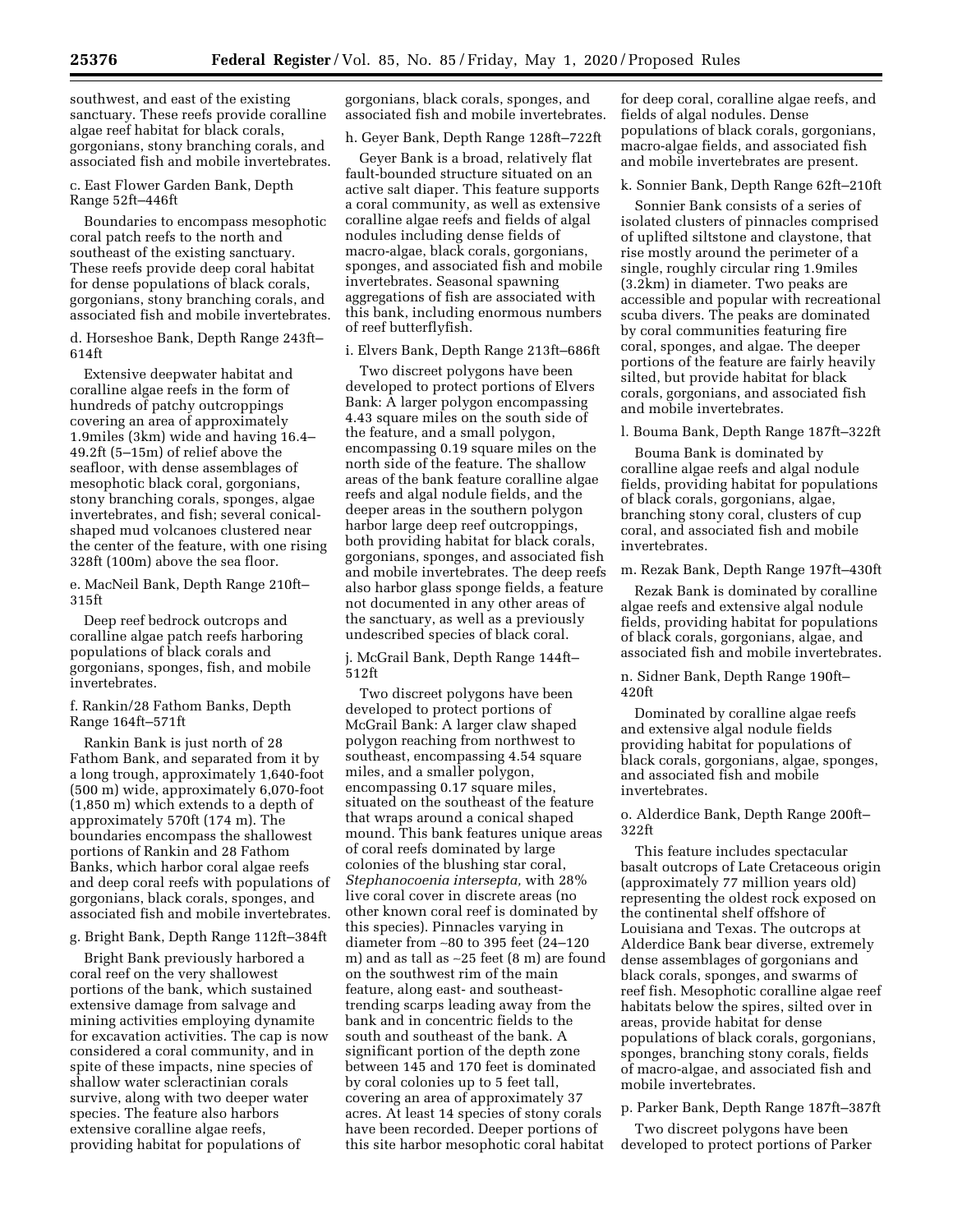southwest, and east of the existing sanctuary. These reefs provide coralline algae reef habitat for black corals, gorgonians, stony branching corals, and associated fish and mobile invertebrates.

c. East Flower Garden Bank, Depth Range 52ft–446ft

Boundaries to encompass mesophotic coral patch reefs to the north and southeast of the existing sanctuary. These reefs provide deep coral habitat for dense populations of black corals, gorgonians, stony branching corals, and associated fish and mobile invertebrates.

d. Horseshoe Bank, Depth Range 243ft– 614ft

Extensive deepwater habitat and coralline algae reefs in the form of hundreds of patchy outcroppings covering an area of approximately 1.9miles (3km) wide and having 16.4– 49.2ft (5–15m) of relief above the seafloor, with dense assemblages of mesophotic black coral, gorgonians, stony branching corals, sponges, algae invertebrates, and fish; several conicalshaped mud volcanoes clustered near the center of the feature, with one rising 328ft (100m) above the sea floor.

e. MacNeil Bank, Depth Range 210ft– 315ft

Deep reef bedrock outcrops and coralline algae patch reefs harboring populations of black corals and gorgonians, sponges, fish, and mobile invertebrates.

f. Rankin/28 Fathom Banks, Depth Range 164ft–571ft

Rankin Bank is just north of 28 Fathom Bank, and separated from it by a long trough, approximately 1,640-foot (500 m) wide, approximately 6,070-foot (1,850 m) which extends to a depth of approximately 570ft (174 m). The boundaries encompass the shallowest portions of Rankin and 28 Fathom Banks, which harbor coral algae reefs and deep coral reefs with populations of gorgonians, black corals, sponges, and associated fish and mobile invertebrates.

g. Bright Bank, Depth Range 112ft–384ft

Bright Bank previously harbored a coral reef on the very shallowest portions of the bank, which sustained extensive damage from salvage and mining activities employing dynamite for excavation activities. The cap is now considered a coral community, and in spite of these impacts, nine species of shallow water scleractinian corals survive, along with two deeper water species. The feature also harbors extensive coralline algae reefs, providing habitat for populations of

gorgonians, black corals, sponges, and associated fish and mobile invertebrates.

h. Geyer Bank, Depth Range 128ft–722ft

Geyer Bank is a broad, relatively flat fault-bounded structure situated on an active salt diaper. This feature supports a coral community, as well as extensive coralline algae reefs and fields of algal nodules including dense fields of macro-algae, black corals, gorgonians, sponges, and associated fish and mobile invertebrates. Seasonal spawning aggregations of fish are associated with this bank, including enormous numbers of reef butterflyfish.

i. Elvers Bank, Depth Range 213ft–686ft

Two discreet polygons have been developed to protect portions of Elvers Bank: A larger polygon encompassing 4.43 square miles on the south side of the feature, and a small polygon, encompassing 0.19 square miles on the north side of the feature. The shallow areas of the bank feature coralline algae reefs and algal nodule fields, and the deeper areas in the southern polygon harbor large deep reef outcroppings, both providing habitat for black corals, gorgonians, sponges, and associated fish and mobile invertebrates. The deep reefs also harbor glass sponge fields, a feature not documented in any other areas of the sanctuary, as well as a previously undescribed species of black coral.

j. McGrail Bank, Depth Range 144ft– 512ft

Two discreet polygons have been developed to protect portions of McGrail Bank: A larger claw shaped polygon reaching from northwest to southeast, encompassing 4.54 square miles, and a smaller polygon, encompassing 0.17 square miles, situated on the southeast of the feature that wraps around a conical shaped mound. This bank features unique areas of coral reefs dominated by large colonies of the blushing star coral, *Stephanocoenia intersepta,* with 28% live coral cover in discrete areas (no other known coral reef is dominated by this species). Pinnacles varying in diameter from ∼80 to 395 feet (24–120 m) and as tall as ∼25 feet (8 m) are found on the southwest rim of the main feature, along east- and southeasttrending scarps leading away from the bank and in concentric fields to the south and southeast of the bank. A significant portion of the depth zone between 145 and 170 feet is dominated by coral colonies up to 5 feet tall, covering an area of approximately 37 acres. At least 14 species of stony corals have been recorded. Deeper portions of this site harbor mesophotic coral habitat

for deep coral, coralline algae reefs, and fields of algal nodules. Dense populations of black corals, gorgonians, macro-algae fields, and associated fish and mobile invertebrates are present.

k. Sonnier Bank, Depth Range 62ft–210ft

Sonnier Bank consists of a series of isolated clusters of pinnacles comprised of uplifted siltstone and claystone, that rise mostly around the perimeter of a single, roughly circular ring 1.9miles (3.2km) in diameter. Two peaks are accessible and popular with recreational scuba divers. The peaks are dominated by coral communities featuring fire coral, sponges, and algae. The deeper portions of the feature are fairly heavily silted, but provide habitat for black corals, gorgonians, and associated fish and mobile invertebrates.

l. Bouma Bank, Depth Range 187ft–322ft

Bouma Bank is dominated by coralline algae reefs and algal nodule fields, providing habitat for populations of black corals, gorgonians, algae, branching stony coral, clusters of cup coral, and associated fish and mobile invertebrates.

m. Rezak Bank, Depth Range 197ft–430ft

Rezak Bank is dominated by coralline algae reefs and extensive algal nodule fields, providing habitat for populations of black corals, gorgonians, algae, and associated fish and mobile invertebrates.

n. Sidner Bank, Depth Range 190ft– 420ft

Dominated by coralline algae reefs and extensive algal nodule fields providing habitat for populations of black corals, gorgonians, algae, sponges, and associated fish and mobile invertebrates.

o. Alderdice Bank, Depth Range 200ft– 322ft

This feature includes spectacular basalt outcrops of Late Cretaceous origin (approximately 77 million years old) representing the oldest rock exposed on the continental shelf offshore of Louisiana and Texas. The outcrops at Alderdice Bank bear diverse, extremely dense assemblages of gorgonians and black corals, sponges, and swarms of reef fish. Mesophotic coralline algae reef habitats below the spires, silted over in areas, provide habitat for dense populations of black corals, gorgonians, sponges, branching stony corals, fields of macro-algae, and associated fish and mobile invertebrates.

p. Parker Bank, Depth Range 187ft–387ft

Two discreet polygons have been developed to protect portions of Parker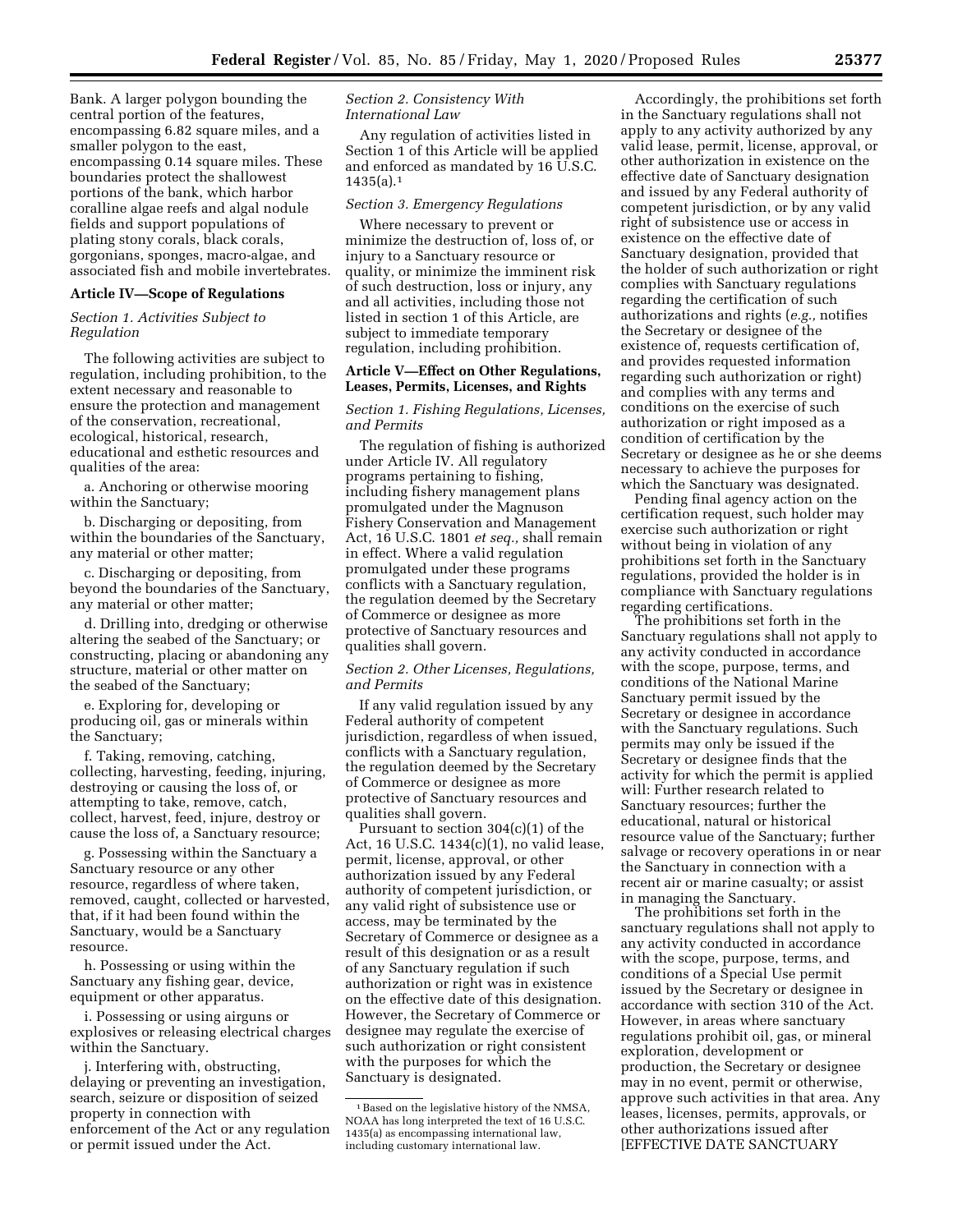Bank. A larger polygon bounding the central portion of the features, encompassing 6.82 square miles, and a smaller polygon to the east, encompassing 0.14 square miles. These boundaries protect the shallowest portions of the bank, which harbor coralline algae reefs and algal nodule fields and support populations of plating stony corals, black corals, gorgonians, sponges, macro-algae, and associated fish and mobile invertebrates.

#### **Article IV—Scope of Regulations**

*Section 1. Activities Subject to Regulation* 

The following activities are subject to regulation, including prohibition, to the extent necessary and reasonable to ensure the protection and management of the conservation, recreational, ecological, historical, research, educational and esthetic resources and qualities of the area:

a. Anchoring or otherwise mooring within the Sanctuary;

b. Discharging or depositing, from within the boundaries of the Sanctuary, any material or other matter;

c. Discharging or depositing, from beyond the boundaries of the Sanctuary, any material or other matter;

d. Drilling into, dredging or otherwise altering the seabed of the Sanctuary; or constructing, placing or abandoning any structure, material or other matter on the seabed of the Sanctuary;

e. Exploring for, developing or producing oil, gas or minerals within the Sanctuary;

f. Taking, removing, catching, collecting, harvesting, feeding, injuring, destroying or causing the loss of, or attempting to take, remove, catch, collect, harvest, feed, injure, destroy or cause the loss of, a Sanctuary resource;

g. Possessing within the Sanctuary a Sanctuary resource or any other resource, regardless of where taken, removed, caught, collected or harvested, that, if it had been found within the Sanctuary, would be a Sanctuary resource.

h. Possessing or using within the Sanctuary any fishing gear, device, equipment or other apparatus.

i. Possessing or using airguns or explosives or releasing electrical charges within the Sanctuary.

j. Interfering with, obstructing, delaying or preventing an investigation, search, seizure or disposition of seized property in connection with enforcement of the Act or any regulation or permit issued under the Act.

## *Section 2. Consistency With International Law*

Any regulation of activities listed in Section 1 of this Article will be applied and enforced as mandated by 16 U.S.C. 1435(a).1

#### *Section 3. Emergency Regulations*

Where necessary to prevent or minimize the destruction of, loss of, or injury to a Sanctuary resource or quality, or minimize the imminent risk of such destruction, loss or injury, any and all activities, including those not listed in section 1 of this Article, are subject to immediate temporary regulation, including prohibition.

### **Article V—Effect on Other Regulations, Leases, Permits, Licenses, and Rights**

## *Section 1. Fishing Regulations, Licenses, and Permits*

The regulation of fishing is authorized under Article IV. All regulatory programs pertaining to fishing, including fishery management plans promulgated under the Magnuson Fishery Conservation and Management Act, 16 U.S.C. 1801 *et seq.,* shall remain in effect. Where a valid regulation promulgated under these programs conflicts with a Sanctuary regulation, the regulation deemed by the Secretary of Commerce or designee as more protective of Sanctuary resources and qualities shall govern.

### *Section 2. Other Licenses, Regulations, and Permits*

If any valid regulation issued by any Federal authority of competent jurisdiction, regardless of when issued, conflicts with a Sanctuary regulation, the regulation deemed by the Secretary of Commerce or designee as more protective of Sanctuary resources and qualities shall govern.

Pursuant to section 304(c)(1) of the Act, 16 U.S.C. 1434(c)(1), no valid lease, permit, license, approval, or other authorization issued by any Federal authority of competent jurisdiction, or any valid right of subsistence use or access, may be terminated by the Secretary of Commerce or designee as a result of this designation or as a result of any Sanctuary regulation if such authorization or right was in existence on the effective date of this designation. However, the Secretary of Commerce or designee may regulate the exercise of such authorization or right consistent with the purposes for which the Sanctuary is designated.

Accordingly, the prohibitions set forth in the Sanctuary regulations shall not apply to any activity authorized by any valid lease, permit, license, approval, or other authorization in existence on the effective date of Sanctuary designation and issued by any Federal authority of competent jurisdiction, or by any valid right of subsistence use or access in existence on the effective date of Sanctuary designation, provided that the holder of such authorization or right complies with Sanctuary regulations regarding the certification of such authorizations and rights (*e.g.,* notifies the Secretary or designee of the existence of, requests certification of, and provides requested information regarding such authorization or right) and complies with any terms and conditions on the exercise of such authorization or right imposed as a condition of certification by the Secretary or designee as he or she deems necessary to achieve the purposes for which the Sanctuary was designated.

Pending final agency action on the certification request, such holder may exercise such authorization or right without being in violation of any prohibitions set forth in the Sanctuary regulations, provided the holder is in compliance with Sanctuary regulations regarding certifications.

The prohibitions set forth in the Sanctuary regulations shall not apply to any activity conducted in accordance with the scope, purpose, terms, and conditions of the National Marine Sanctuary permit issued by the Secretary or designee in accordance with the Sanctuary regulations. Such permits may only be issued if the Secretary or designee finds that the activity for which the permit is applied will: Further research related to Sanctuary resources; further the educational, natural or historical resource value of the Sanctuary; further salvage or recovery operations in or near the Sanctuary in connection with a recent air or marine casualty; or assist in managing the Sanctuary.

The prohibitions set forth in the sanctuary regulations shall not apply to any activity conducted in accordance with the scope, purpose, terms, and conditions of a Special Use permit issued by the Secretary or designee in accordance with section 310 of the Act. However, in areas where sanctuary regulations prohibit oil, gas, or mineral exploration, development or production, the Secretary or designee may in no event, permit or otherwise, approve such activities in that area. Any leases, licenses, permits, approvals, or other authorizations issued after [EFFECTIVE DATE SANCTUARY

<sup>1</sup>Based on the legislative history of the NMSA, NOAA has long interpreted the text of 16 U.S.C. 1435(a) as encompassing international law, including customary international law.